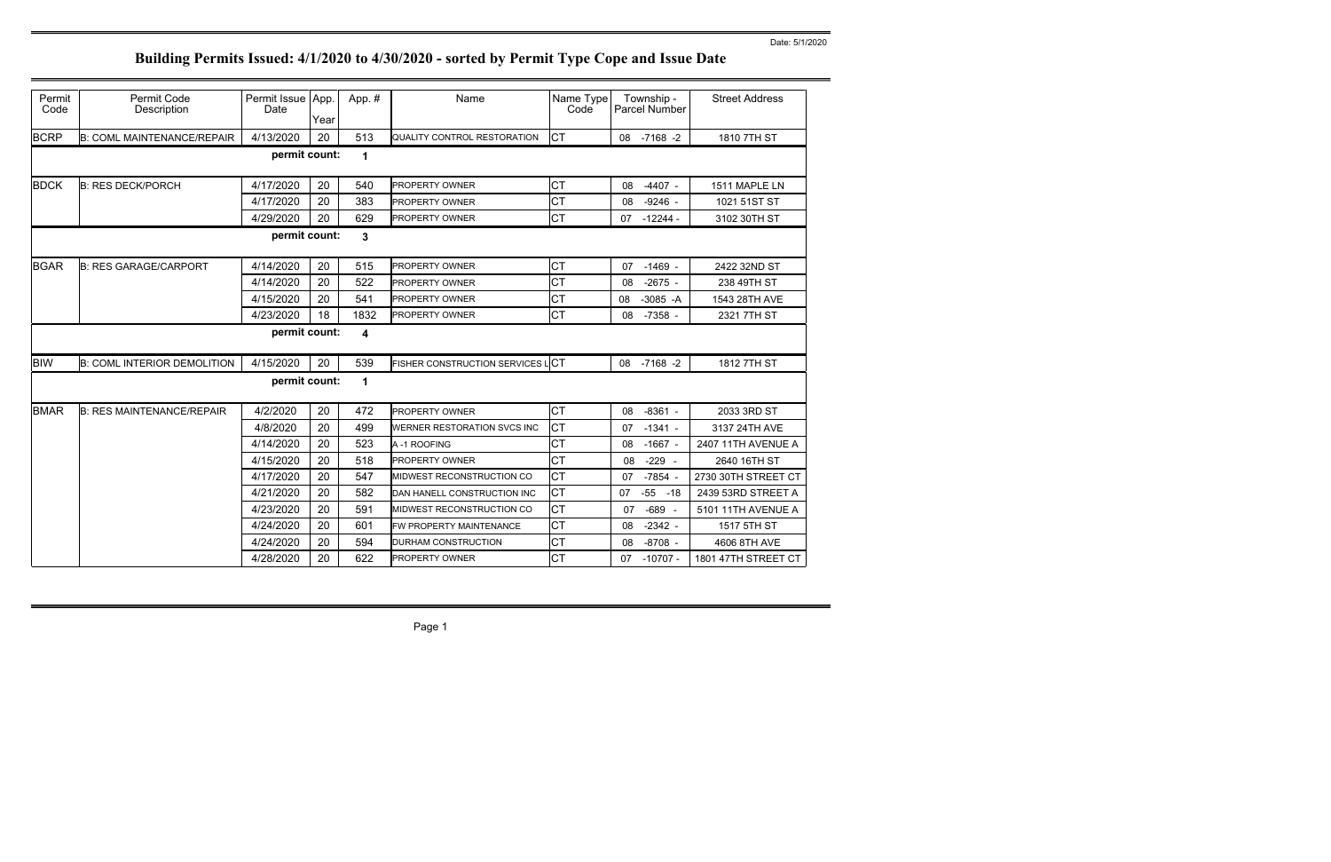| Permit<br>Code | Permit Code<br>Description         | Permit Issue App.<br>Date | Year | App. #                  | Name                               | Name Type<br>Code | Township -<br>Parcel Number | <b>Street Address</b> |
|----------------|------------------------------------|---------------------------|------|-------------------------|------------------------------------|-------------------|-----------------------------|-----------------------|
| <b>BCRP</b>    | <b>B: COML MAINTENANCE/REPAIR</b>  | 4/13/2020                 | 20   | 513                     | <b>QUALITY CONTROL RESTORATION</b> | <b>CT</b>         | 08 -7168 -2                 | 1810 7TH ST           |
|                |                                    | permit count:             |      | $\mathbf 1$             |                                    |                   |                             |                       |
| <b>BDCK</b>    | <b>B: RES DECK/PORCH</b>           | 4/17/2020                 | 20   | 540                     | <b>PROPERTY OWNER</b>              | <b>CT</b>         | $-4407 -$<br>08             | 1511 MAPLE LN         |
|                |                                    | 4/17/2020                 | 20   | 383                     | <b>PROPERTY OWNER</b>              | <b>CT</b>         | 08<br>$-9246 -$             | 1021 51ST ST          |
|                |                                    | 4/29/2020                 | 20   | 629                     | PROPERTY OWNER                     | <b>CT</b>         | $-12244-$<br>07             | 3102 30TH ST          |
|                |                                    | permit count:             |      | $\mathbf{3}$            |                                    |                   |                             |                       |
| <b>BGAR</b>    | <b>B: RES GARAGE/CARPORT</b>       | 4/14/2020                 | 20   | 515                     | <b>PROPERTY OWNER</b>              | <b>CT</b>         | $-1469 -$<br>07             | 2422 32ND ST          |
|                |                                    | 4/14/2020                 | 20   | 522                     | <b>PROPERTY OWNER</b>              | <b>CT</b>         | $-2675 -$<br>08             | 238 49TH ST           |
|                |                                    | 4/15/2020                 | 20   | 541                     | <b>PROPERTY OWNER</b>              | <b>CT</b>         | $-3085 - A$<br>08           | 1543 28TH AVE         |
|                |                                    | 4/23/2020                 | 18   | 1832                    | PROPERTY OWNER                     | <b>CT</b>         | $-7358 -$<br>08             | 2321 7TH ST           |
|                |                                    | permit count:             |      | $\overline{\mathbf{4}}$ |                                    |                   |                             |                       |
| <b>BIW</b>     | <b>B: COML INTERIOR DEMOLITION</b> | 4/15/2020                 | 20   | 539                     | FISHER CONSTRUCTION SERVICES LCT   |                   | 08 -7168 -2                 | 1812 7TH ST           |
|                |                                    |                           |      |                         |                                    |                   |                             |                       |
|                |                                    | permit count:             |      | $\mathbf 1$             |                                    |                   |                             |                       |
| <b>BMAR</b>    | <b>B: RES MAINTENANCE/REPAIR</b>   | 4/2/2020                  | 20   | 472                     | PROPERTY OWNER                     | Iст               | $-8361 -$<br>08             | 2033 3RD ST           |
|                |                                    | 4/8/2020                  | 20   | 499                     | WERNER RESTORATION SVCS INC        | <b>CT</b>         | $-1341 -$<br>07             | 3137 24TH AVE         |
|                |                                    | 4/14/2020                 | 20   | 523                     | A-1 ROOFING                        | <b>CT</b>         | 08<br>$-1667 -$             | 2407 11TH AVENUE A    |
|                |                                    | 4/15/2020                 | 20   | 518                     | <b>PROPERTY OWNER</b>              | <b>CT</b>         | $-229 -$<br>08              | 2640 16TH ST          |
|                |                                    | 4/17/2020                 | 20   | 547                     | MIDWEST RECONSTRUCTION CO          | <b>CT</b>         | $-7854 -$<br>07             | 2730 30TH STREET CT   |
|                |                                    | 4/21/2020                 | 20   | 582                     | DAN HANELL CONSTRUCTION INC        | <b>CT</b>         | $-55 - 18$<br>07            | 2439 53RD STREET A    |
|                |                                    | 4/23/2020                 | 20   | 591                     | <b>MIDWEST RECONSTRUCTION CO</b>   | <b>CT</b>         | $-689 -$<br>07              | 5101 11TH AVENUE A    |
|                |                                    | 4/24/2020                 | 20   | 601                     | FW PROPERTY MAINTENANCE            | <b>CT</b>         | $-2342 -$<br>08             | 1517 5TH ST           |
|                |                                    | 4/24/2020                 | 20   | 594                     | DURHAM CONSTRUCTION                | <b>CT</b>         | $-8708 -$<br>08             | 4606 8TH AVE          |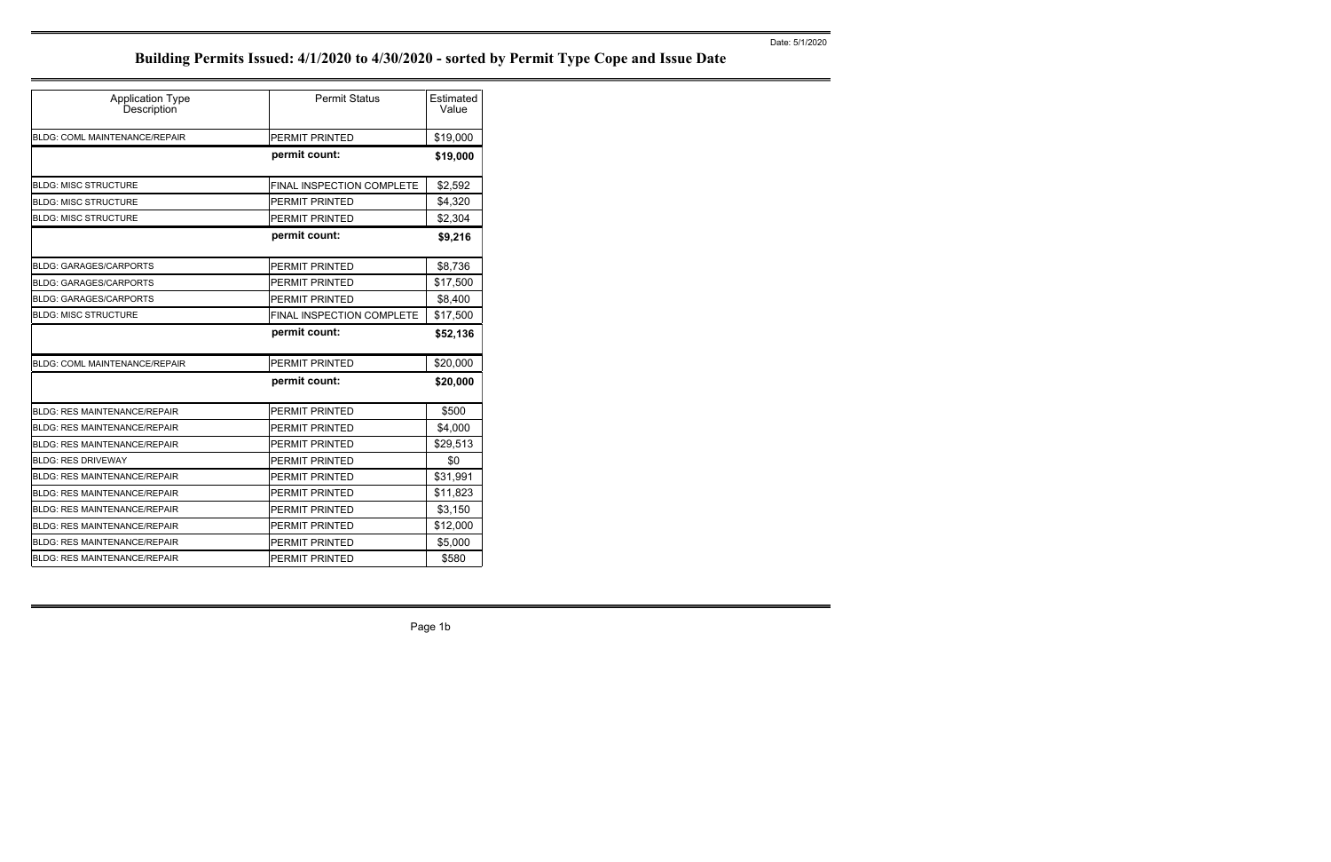Page 1b

| <b>Application Type</b><br>Description | <b>Permit Status</b>      | Estimated<br>Value |
|----------------------------------------|---------------------------|--------------------|
| <b>BLDG: COML MAINTENANCE/REPAIR</b>   | <b>PERMIT PRINTED</b>     | \$19,000           |
|                                        | permit count:             | \$19,000           |
| <b>BLDG: MISC STRUCTURE</b>            | FINAL INSPECTION COMPLETE | \$2,592            |
| <b>BLDG: MISC STRUCTURE</b>            | <b>PERMIT PRINTED</b>     | \$4,320            |
| <b>BLDG: MISC STRUCTURE</b>            | PERMIT PRINTED            | \$2,304            |
|                                        | permit count:             | \$9,216            |
| <b>BLDG: GARAGES/CARPORTS</b>          | <b>PERMIT PRINTED</b>     | \$8,736            |
| <b>BLDG: GARAGES/CARPORTS</b>          | <b>PERMIT PRINTED</b>     | \$17,500           |
| <b>BLDG: GARAGES/CARPORTS</b>          | <b>PERMIT PRINTED</b>     | \$8,400            |
| <b>BLDG: MISC STRUCTURE</b>            | FINAL INSPECTION COMPLETE | \$17,500           |
|                                        | permit count:             | \$52,136           |
| <b>BLDG: COML MAINTENANCE/REPAIR</b>   | PERMIT PRINTED            | \$20,000           |
|                                        | permit count:             | \$20,000           |
| <b>BLDG: RES MAINTENANCE/REPAIR</b>    | PERMIT PRINTED            | \$500              |
| <b>BLDG: RES MAINTENANCE/REPAIR</b>    | PERMIT PRINTED            | \$4,000            |
| <b>BLDG: RES MAINTENANCE/REPAIR</b>    | PERMIT PRINTED            | \$29,513           |
| <b>BLDG: RES DRIVEWAY</b>              | PERMIT PRINTED            | \$0                |
| <b>BLDG: RES MAINTENANCE/REPAIR</b>    | PERMIT PRINTED            | \$31,991           |
| BLDG: RES MAINTENANCE/REPAIR           | <b>PERMIT PRINTED</b>     | \$11,823           |
| <b>BLDG: RES MAINTENANCE/REPAIR</b>    | <b>PERMIT PRINTED</b>     | \$3,150            |
| BLDG: RES MAINTENANCE/REPAIR           | PERMIT PRINTED            | \$12,000           |
| <b>BLDG: RES MAINTENANCE/REPAIR</b>    | PERMIT PRINTED            | \$5,000            |
| <b>BLDG: RES MAINTENANCE/REPAIR</b>    | <b>PERMIT PRINTED</b>     | \$580              |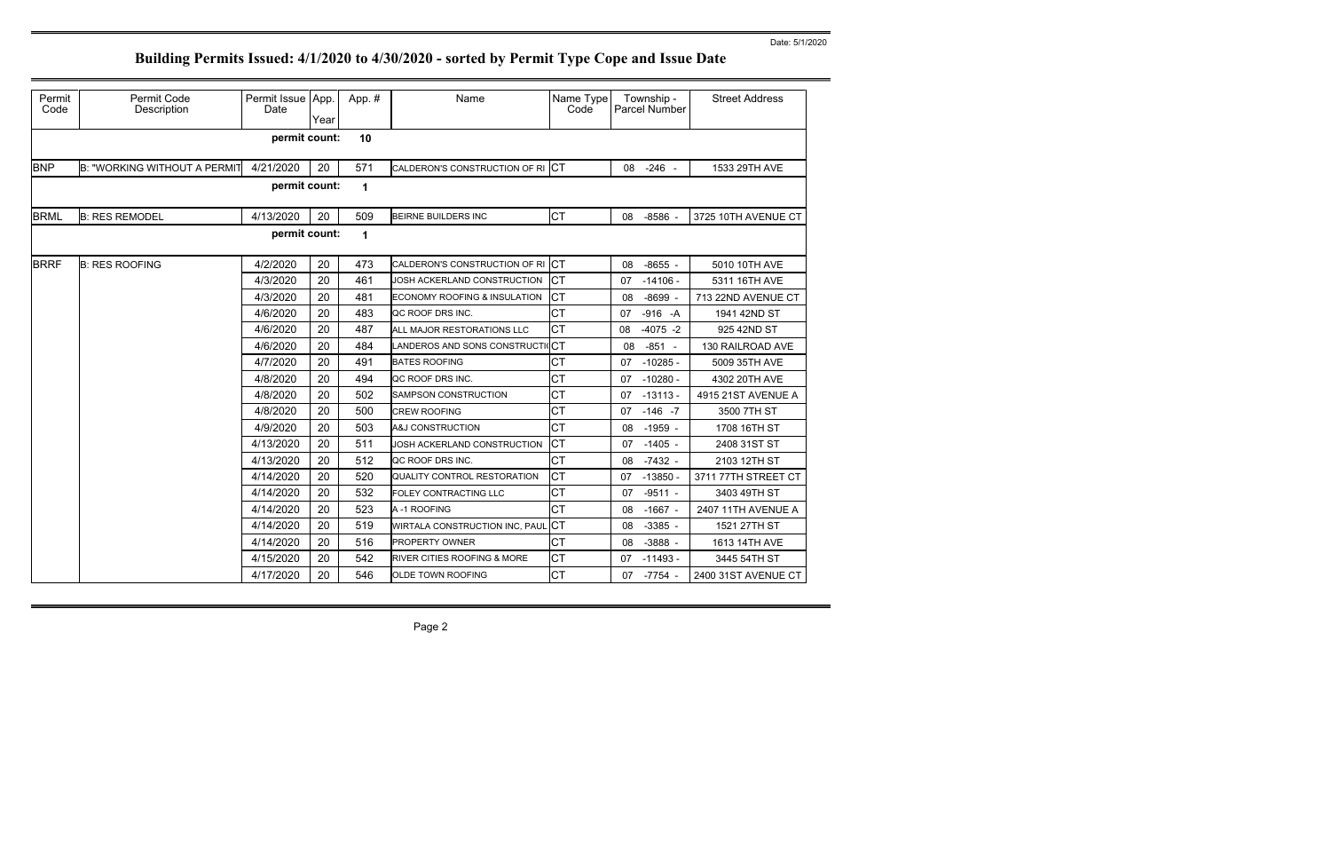| Permit<br>Code | Permit Code<br>Description          | Permit Issue App.<br>Date | Year | App.#       | Name                            | Name Type<br>Code | Township -<br>Parcel Number | <b>Street Address</b> |
|----------------|-------------------------------------|---------------------------|------|-------------|---------------------------------|-------------------|-----------------------------|-----------------------|
|                |                                     | permit count:             |      | 10          |                                 |                   |                             |                       |
| <b>BNP</b>     | <b>B: "WORKING WITHOUT A PERMIT</b> | 4/21/2020                 | 20   | 571         | CALDERON'S CONSTRUCTION OF RICT |                   | 08<br>$-246 -$              | 1533 29TH AVE         |
|                |                                     | permit count:             |      | 1           |                                 |                   |                             |                       |
| <b>BRML</b>    | <b>B: RES REMODEL</b>               | 4/13/2020                 | 20   | 509         | <b>BEIRNE BUILDERS INC</b>      | <b>CT</b>         | $-8586$ -<br>80             | 3725 10TH AVENUE CT   |
|                |                                     | permit count:             |      | $\mathbf 1$ |                                 |                   |                             |                       |
| <b>BRRF</b>    | <b>B: RES ROOFING</b>               | 4/2/2020                  | 20   | 473         | CALDERON'S CONSTRUCTION OF RI   | <b>ICT</b>        | $-8655 -$<br>08             | 5010 10TH AVE         |
|                |                                     | 4/3/2020                  | 20   | 461         | JOSH ACKERLAND CONSTRUCTION     | <b>ICT</b>        | 07<br>$-14106 -$            | 5311 16TH AVE         |
|                |                                     | 4/3/2020                  | 20   | 481         | ECONOMY ROOFING & INSULATION    | Iст               | $-8699 -$<br>08             | 713 22ND AVENUE CT    |
|                |                                     | 4/6/2020                  | 20   | 483         | QC ROOF DRS INC.                | <b>CT</b>         | 07<br>$-916 - A$            | 1941 42ND ST          |
|                |                                     | 4/6/2020                  | 20   | 487         | ALL MAJOR RESTORATIONS LLC      | <b>CT</b>         | $-4075 -2$<br>08            | 925 42ND ST           |
|                |                                     | 4/6/2020                  | 20   | 484         | LANDEROS AND SONS CONSTRUCTIOCT |                   | $-851 -$<br>08              | 130 RAILROAD AVE      |
|                |                                     | 4/7/2020                  | 20   | 491         | <b>BATES ROOFING</b>            | <b>CT</b>         | $-10285 -$<br>07            | 5009 35TH AVE         |
|                |                                     | 4/8/2020                  | 20   | 494         | QC ROOF DRS INC.                | <b>CT</b>         | $-10280 -$<br>07            | 4302 20TH AVE         |
|                |                                     | 4/8/2020                  | 20   | 502         | SAMPSON CONSTRUCTION            | <b>CT</b>         | $-13113-$<br>07             | 4915 21ST AVENUE A    |
|                |                                     | 4/8/2020                  | 20   | 500         | <b>CREW ROOFING</b>             | <b>CT</b>         | $-146 - 7$<br>07            | 3500 7TH ST           |
|                |                                     | 4/9/2020                  | 20   | 503         | A&J CONSTRUCTION                | <b>CT</b>         | $-1959 -$<br>08             | 1708 16TH ST          |
|                |                                     | 4/13/2020                 | 20   | 511         | JOSH ACKERLAND CONSTRUCTION     | Iст               | $-1405 -$<br>07             | 2408 31ST ST          |
|                |                                     | 4/13/2020                 | 20   | 512         | QC ROOF DRS INC.                | <b>CT</b>         | 08<br>$-7432 -$             | 2103 12TH ST          |
|                |                                     | 4/14/2020                 | 20   | 520         | QUALITY CONTROL RESTORATION     | <b>CT</b>         | 07<br>$-13850 -$            | 3711 77TH STREET CT   |
|                |                                     | 4/14/2020                 | 20   | 532         | FOLEY CONTRACTING LLC           | <b>CT</b>         | 07<br>$-9511 -$             | 3403 49TH ST          |
|                |                                     | 4/14/2020                 | 20   | 523         | A-1 ROOFING                     | <b>CT</b>         | $-1667 -$<br>08             | 2407 11TH AVENUE A    |
|                |                                     | 4/14/2020                 | 20   | 519         | WIRTALA CONSTRUCTION INC, PAUL  | .lcт              | $-3385 -$<br>08             | 1521 27TH ST          |
|                |                                     | 4/14/2020                 | 20   | 516         | <b>PROPERTY OWNER</b>           | <b>CT</b>         | 08<br>$-3888 -$             | 1613 14TH AVE         |
|                |                                     | 4/15/2020                 | 20   | 542         | RIVER CITIES ROOFING & MORE     | <b>CT</b>         | $-11493 -$<br>07            | 3445 54TH ST          |
|                |                                     | 4/17/2020                 | 20   | 546         | OLDE TOWN ROOFING               | <b>CT</b>         | 07<br>-7754 -               | 2400 31ST AVENUE CT   |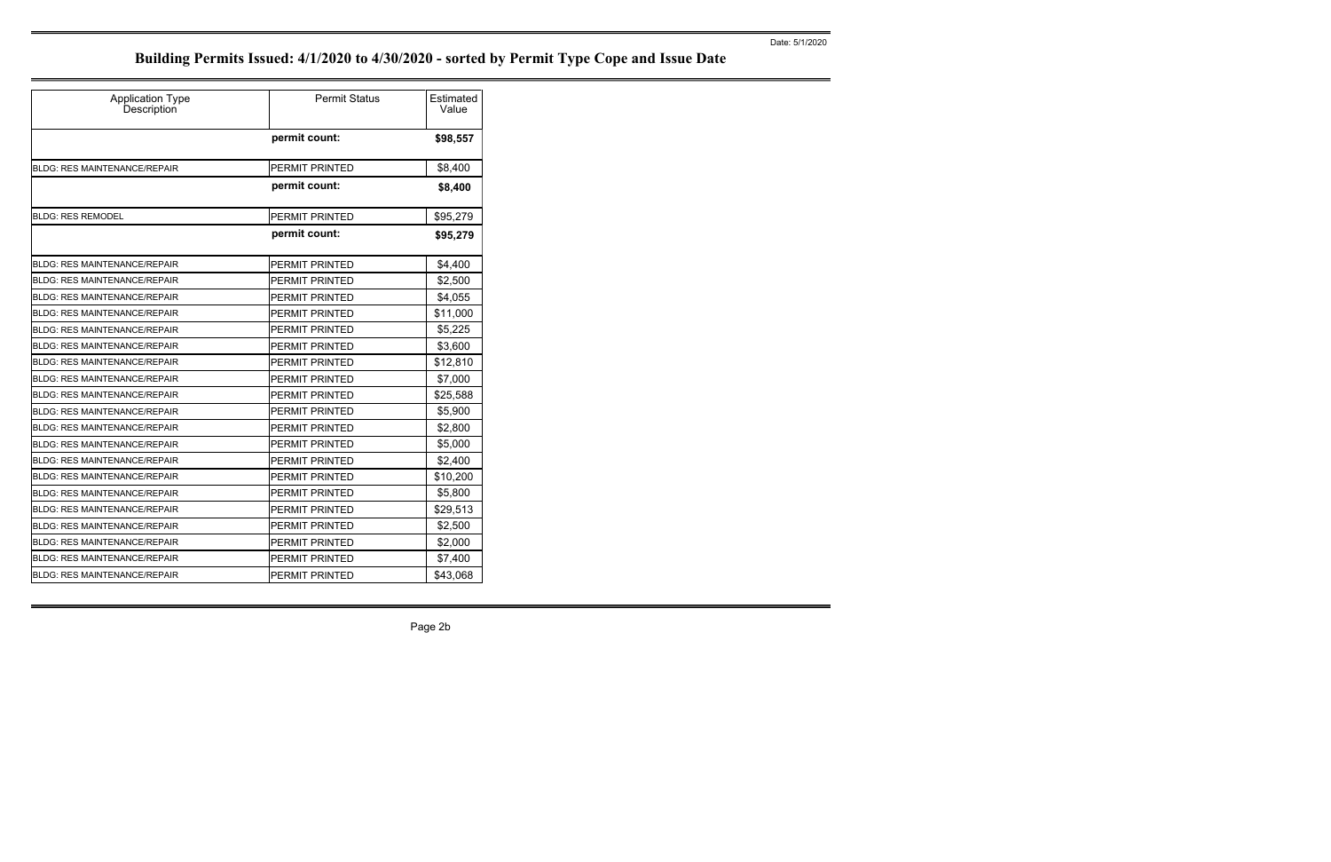Page 2b

| <b>Application Type</b><br>Description | <b>Permit Status</b>  | Estimated<br>Value |
|----------------------------------------|-----------------------|--------------------|
|                                        | permit count:         | \$98,557           |
| <b>BLDG: RES MAINTENANCE/REPAIR</b>    | PERMIT PRINTED        | \$8,400            |
|                                        | permit count:         | \$8,400            |
| <b>BLDG: RES REMODEL</b>               | PERMIT PRINTED        | \$95,279           |
|                                        | permit count:         | \$95,279           |
| <b>BLDG: RES MAINTENANCE/REPAIR</b>    | PERMIT PRINTED        | \$4,400            |
| <b>BLDG: RES MAINTENANCE/REPAIR</b>    | <b>PERMIT PRINTED</b> | \$2,500            |
| <b>BLDG: RES MAINTENANCE/REPAIR</b>    | PERMIT PRINTED        | \$4,055            |
| <b>BLDG: RES MAINTENANCE/REPAIR</b>    | <b>PERMIT PRINTED</b> | \$11,000           |
| <b>BLDG: RES MAINTENANCE/REPAIR</b>    | <b>PERMIT PRINTED</b> | \$5,225            |
| BLDG: RES MAINTENANCE/REPAIR           | PERMIT PRINTED        | \$3,600            |
| BLDG: RES MAINTENANCE/REPAIR           | <b>PERMIT PRINTED</b> | \$12,810           |
| <b>BLDG: RES MAINTENANCE/REPAIR</b>    | <b>PERMIT PRINTED</b> | \$7,000            |
| <b>BLDG: RES MAINTENANCE/REPAIR</b>    | PERMIT PRINTED        | \$25,588           |
| <b>BLDG: RES MAINTENANCE/REPAIR</b>    | PERMIT PRINTED        | \$5,900            |
| <b>BLDG: RES MAINTENANCE/REPAIR</b>    | PERMIT PRINTED        | \$2,800            |
| <b>BLDG: RES MAINTENANCE/REPAIR</b>    | PERMIT PRINTED        | \$5,000            |
| <b>BLDG: RES MAINTENANCE/REPAIR</b>    | <b>PERMIT PRINTED</b> | \$2,400            |
| <b>BLDG: RES MAINTENANCE/REPAIR</b>    | PERMIT PRINTED        | \$10,200           |
| <b>BLDG: RES MAINTENANCE/REPAIR</b>    | <b>PERMIT PRINTED</b> | \$5,800            |
| <b>BLDG: RES MAINTENANCE/REPAIR</b>    | <b>PERMIT PRINTED</b> | \$29,513           |
| BLDG: RES MAINTENANCE/REPAIR           | PERMIT PRINTED        | \$2,500            |
| <b>BLDG: RES MAINTENANCE/REPAIR</b>    | PERMIT PRINTED        | \$2,000            |
| <b>BLDG: RES MAINTENANCE/REPAIR</b>    | PERMIT PRINTED        | \$7,400            |
| <b>BLDG: RES MAINTENANCE/REPAIR</b>    | PERMIT PRINTED        | \$43,068           |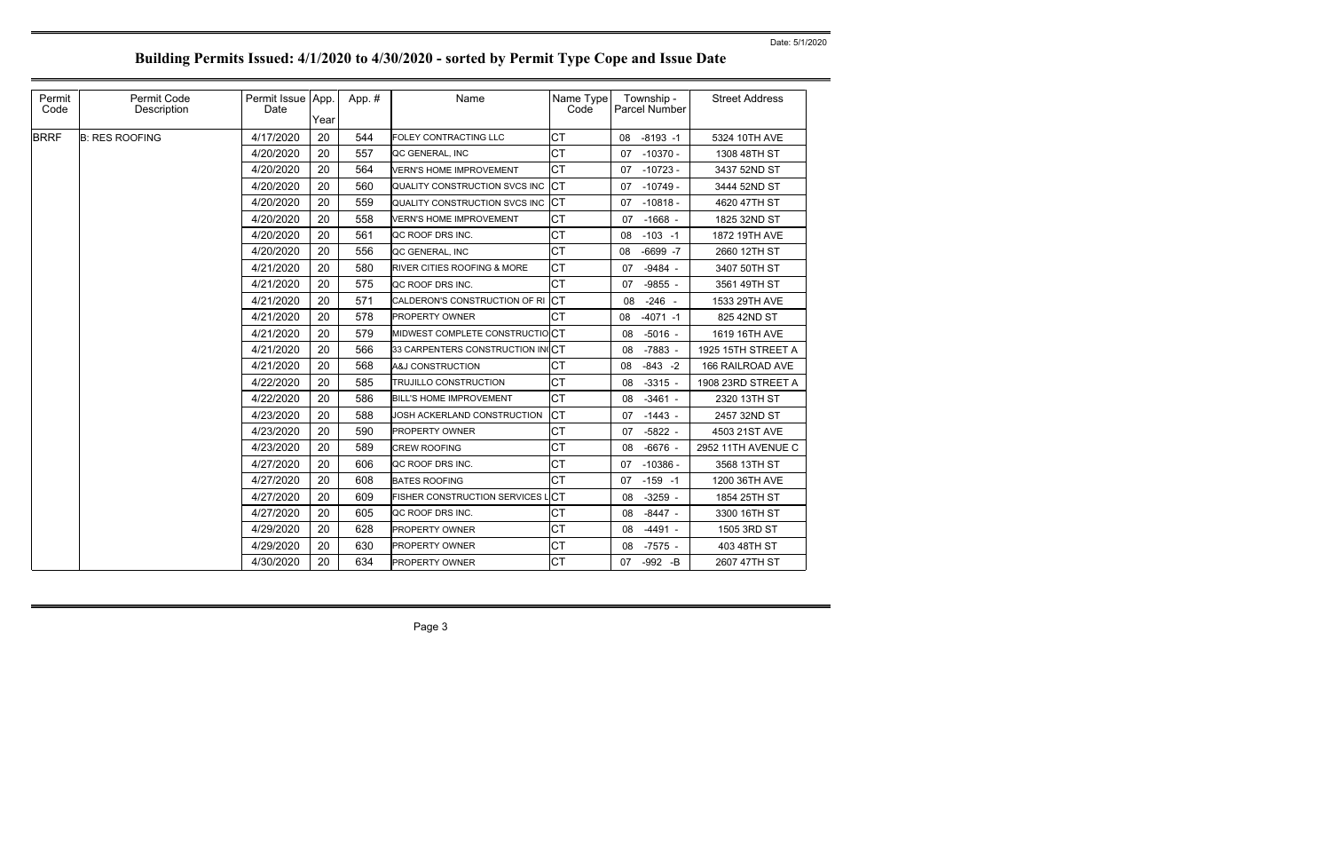|  | Building Permits Issued: 4/1/2020 to 4/30/2020 - sorted by Permit Type Cope and Issue Date |  |  |  |  |
|--|--------------------------------------------------------------------------------------------|--|--|--|--|
|--|--------------------------------------------------------------------------------------------|--|--|--|--|

| Permit<br>Code | Permit Code<br>Description | Permit Issue App.<br>Date | Year | App. # | Name                             | Name Type<br>Code | Township -<br>Parcel Number | <b>Street Address</b> |
|----------------|----------------------------|---------------------------|------|--------|----------------------------------|-------------------|-----------------------------|-----------------------|
| <b>BRRF</b>    | <b>B: RES ROOFING</b>      | 4/17/2020                 | 20   | 544    | FOLEY CONTRACTING LLC            | <b>CT</b>         | 08<br>$-8193 - 1$           | 5324 10TH AVE         |
|                |                            | 4/20/2020                 | 20   | 557    | QC GENERAL, INC                  | <b>CT</b>         | $-10370 -$<br>07            | 1308 48TH ST          |
|                |                            | 4/20/2020                 | 20   | 564    | VERN'S HOME IMPROVEMENT          | <b>CT</b>         | $-10723 -$<br>07            | 3437 52ND ST          |
|                |                            | 4/20/2020                 | 20   | 560    | QUALITY CONSTRUCTION SVCS INC    | <b>CT</b>         | $-10749 -$<br>07            | 3444 52ND ST          |
|                |                            | 4/20/2020                 | 20   | 559    | QUALITY CONSTRUCTION SVCS INC    | <b>ICT</b>        | $-10818 -$<br>07            | 4620 47TH ST          |
|                |                            | 4/20/2020                 | 20   | 558    | VERN'S HOME IMPROVEMENT          | <b>CT</b>         | 07<br>$-1668 -$             | 1825 32ND ST          |
|                |                            | 4/20/2020                 | 20   | 561    | QC ROOF DRS INC.                 | <b>CT</b>         | $-103 - 1$<br>08            | 1872 19TH AVE         |
|                |                            | 4/20/2020                 | 20   | 556    | QC GENERAL, INC                  | <b>CT</b>         | $-6699 - 7$<br>08           | 2660 12TH ST          |
|                |                            | 4/21/2020                 | 20   | 580    | RIVER CITIES ROOFING & MORE      | <b>CT</b>         | 07<br>$-9484 -$             | 3407 50TH ST          |
|                |                            | 4/21/2020                 | 20   | 575    | QC ROOF DRS INC.                 | <b>CT</b>         | 07<br>$-9855 -$             | 3561 49TH ST          |
|                |                            | 4/21/2020                 | 20   | 571    | CALDERON'S CONSTRUCTION OF RI    | <b>CT</b>         | $-246 -$<br>08              | 1533 29TH AVE         |
|                |                            | 4/21/2020                 | 20   | 578    | <b>PROPERTY OWNER</b>            | <b>CT</b>         | $-4071 - 1$<br>08           | 825 42ND ST           |
|                |                            | 4/21/2020                 | 20   | 579    | MIDWEST COMPLETE CONSTRUCTIOCT   |                   | 08<br>$-5016 -$             | 1619 16TH AVE         |
|                |                            | 4/21/2020                 | 20   | 566    | 33 CARPENTERS CONSTRUCTION INCCT |                   | $-7883 -$<br>08             | 1925 15TH STREET A    |
|                |                            | 4/21/2020                 | 20   | 568    | <b>A&amp;J CONSTRUCTION</b>      | <b>CT</b>         | $-843 - 2$<br>08            | 166 RAILROAD AVE      |
|                |                            | 4/22/2020                 | 20   | 585    | TRUJILLO CONSTRUCTION            | <b>CT</b>         | $-3315 -$<br>08             | 1908 23RD STREET A    |
|                |                            | 4/22/2020                 | 20   | 586    | <b>BILL'S HOME IMPROVEMENT</b>   | <b>CT</b>         | 08<br>$-3461 -$             | 2320 13TH ST          |
|                |                            | 4/23/2020                 | 20   | 588    | JOSH ACKERLAND CONSTRUCTION      | <b>CT</b>         | 07<br>$-1443 -$             | 2457 32ND ST          |
|                |                            | 4/23/2020                 | 20   | 590    | PROPERTY OWNER                   | <b>CT</b>         | $-5822 -$<br>07             | 4503 21ST AVE         |
|                |                            | 4/23/2020                 | 20   | 589    | <b>CREW ROOFING</b>              | <b>CT</b>         | $-6676 -$<br>08             | 2952 11TH AVENUE C    |
|                |                            | 4/27/2020                 | 20   | 606    | QC ROOF DRS INC.                 | <b>CT</b>         | 07<br>$-10386 -$            | 3568 13TH ST          |
|                |                            | 4/27/2020                 | 20   | 608    | <b>BATES ROOFING</b>             | <b>CT</b>         | 07<br>$-159 - 1$            | 1200 36TH AVE         |
|                |                            | 4/27/2020                 | 20   | 609    | FISHER CONSTRUCTION SERVICES LCT |                   | $-3259 -$<br>08             | 1854 25TH ST          |
|                |                            | 4/27/2020                 | 20   | 605    | QC ROOF DRS INC.                 | <b>CT</b>         | $-8447 -$<br>08             | 3300 16TH ST          |
|                |                            | 4/29/2020                 | 20   | 628    | PROPERTY OWNER                   | <b>CT</b>         | 08<br>$-4491 -$             | 1505 3RD ST           |
|                |                            | 4/29/2020                 | 20   | 630    | PROPERTY OWNER                   | <b>CT</b>         | $-7575 -$<br>08             | 403 48TH ST           |
|                |                            | 4/30/2020                 | 20   | 634    | PROPERTY OWNER                   | <b>CT</b>         | $-992 - B$<br>07            | 2607 47TH ST          |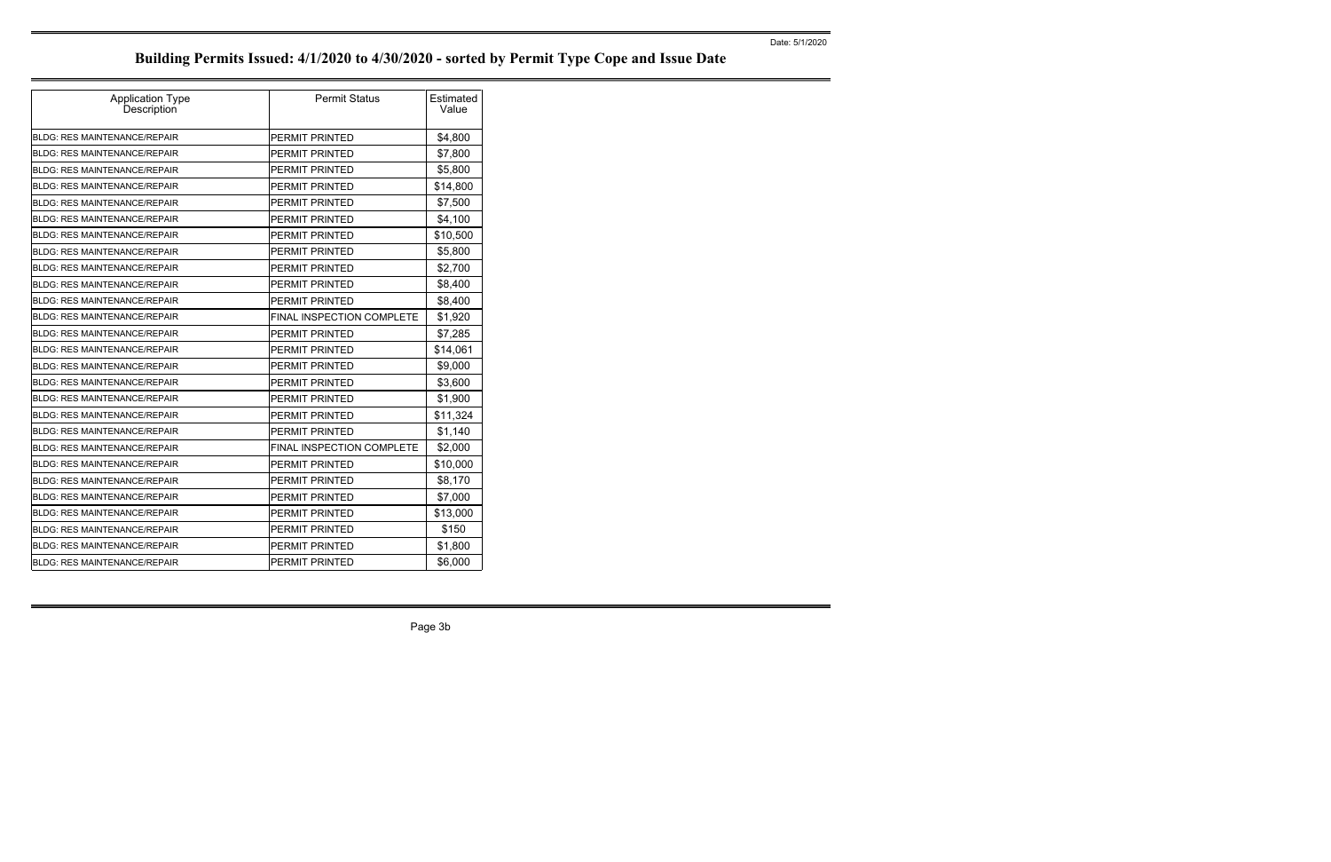Page 3b

| <b>Application Type</b><br>Description | <b>Permit Status</b>             | Estimated<br>Value |
|----------------------------------------|----------------------------------|--------------------|
| <b>BLDG: RES MAINTENANCE/REPAIR</b>    | <b>PERMIT PRINTED</b>            | \$4,800            |
| <b>BLDG: RES MAINTENANCE/REPAIR</b>    | <b>PERMIT PRINTED</b>            | \$7,800            |
| <b>BLDG: RES MAINTENANCE/REPAIR</b>    | <b>PERMIT PRINTED</b>            | \$5,800            |
| <b>BLDG: RES MAINTENANCE/REPAIR</b>    | PERMIT PRINTED                   | \$14,800           |
| BLDG: RES MAINTENANCE/REPAIR           | PERMIT PRINTED                   | \$7,500            |
| <b>BLDG: RES MAINTENANCE/REPAIR</b>    | PERMIT PRINTED                   | \$4,100            |
| <b>BLDG: RES MAINTENANCE/REPAIR</b>    | <b>PERMIT PRINTED</b>            | \$10,500           |
| <b>BLDG: RES MAINTENANCE/REPAIR</b>    | <b>PERMIT PRINTED</b>            | \$5,800            |
| <b>BLDG: RES MAINTENANCE/REPAIR</b>    | <b>PERMIT PRINTED</b>            | \$2,700            |
| <b>BLDG: RES MAINTENANCE/REPAIR</b>    | <b>PERMIT PRINTED</b>            | \$8,400            |
| BLDG: RES MAINTENANCE/REPAIR           | PERMIT PRINTED                   | \$8,400            |
| <b>BLDG: RES MAINTENANCE/REPAIR</b>    | <b>FINAL INSPECTION COMPLETE</b> | \$1,920            |
| <b>BLDG: RES MAINTENANCE/REPAIR</b>    | PERMIT PRINTED                   | \$7,285            |
| <b>BLDG: RES MAINTENANCE/REPAIR</b>    | <b>PERMIT PRINTED</b>            | \$14,061           |
| <b>BLDG: RES MAINTENANCE/REPAIR</b>    | <b>PERMIT PRINTED</b>            | \$9,000            |
| <b>BLDG: RES MAINTENANCE/REPAIR</b>    | <b>PERMIT PRINTED</b>            | \$3,600            |
| BLDG: RES MAINTENANCE/REPAIR           | <b>PERMIT PRINTED</b>            | \$1,900            |
| BLDG: RES MAINTENANCE/REPAIR           | PERMIT PRINTED                   | \$11,324           |
| <b>BLDG: RES MAINTENANCE/REPAIR</b>    | <b>PERMIT PRINTED</b>            | \$1,140            |
| <b>BLDG: RES MAINTENANCE/REPAIR</b>    | FINAL INSPECTION COMPLETE        | \$2,000            |
| <b>BLDG: RES MAINTENANCE/REPAIR</b>    | PERMIT PRINTED                   | \$10,000           |
| BLDG: RES MAINTENANCE/REPAIR           | PERMIT PRINTED                   | \$8,170            |
| <b>BLDG: RES MAINTENANCE/REPAIR</b>    | <b>PERMIT PRINTED</b>            | \$7,000            |
| <b>BLDG: RES MAINTENANCE/REPAIR</b>    | PERMIT PRINTED                   | \$13,000           |
| <b>BLDG: RES MAINTENANCE/REPAIR</b>    | <b>PERMIT PRINTED</b>            | \$150              |
| <b>BLDG: RES MAINTENANCE/REPAIR</b>    | <b>PERMIT PRINTED</b>            | \$1,800            |
| BLDG: RES MAINTENANCE/REPAIR           | <b>PERMIT PRINTED</b>            | \$6,000            |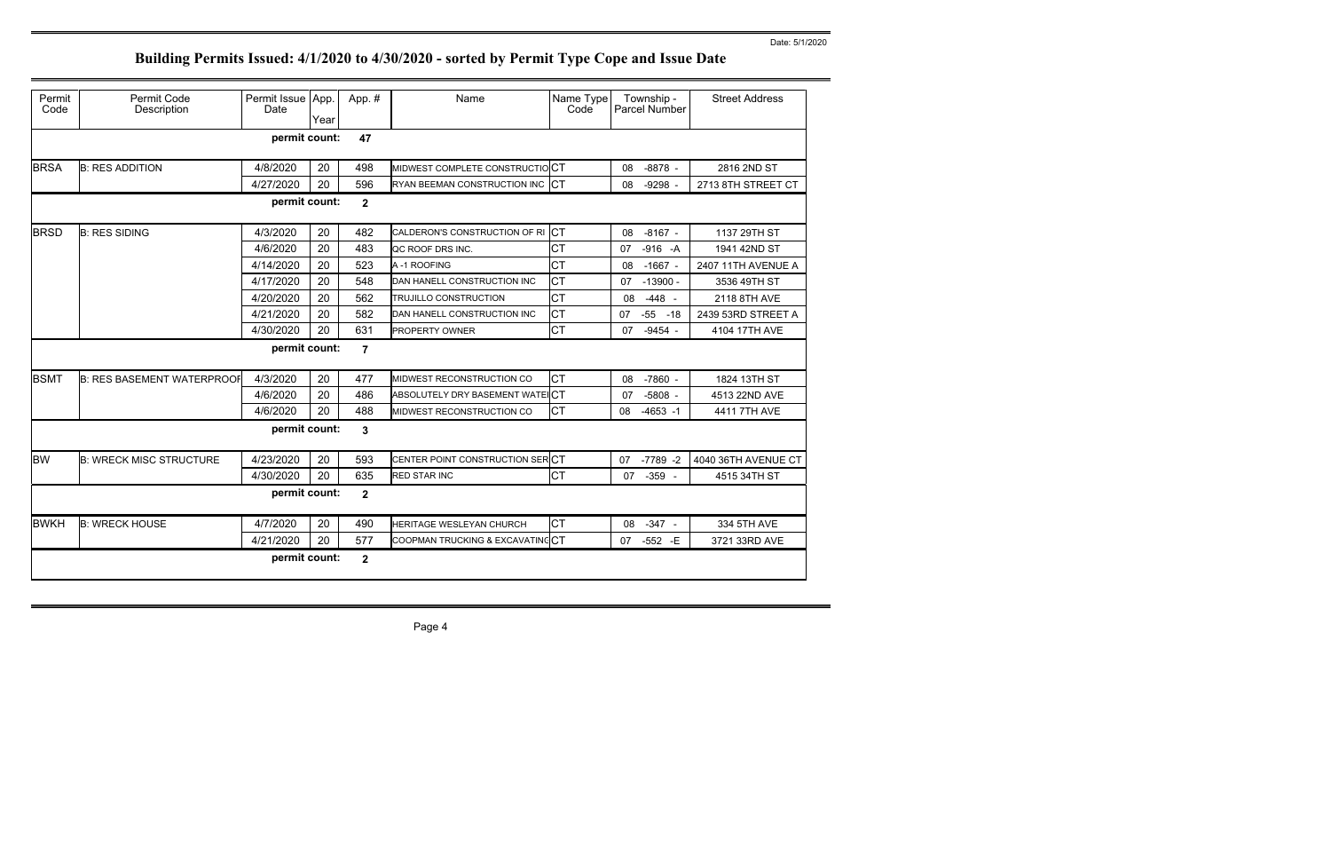| Permit<br>Code | Permit Code<br>Description        | Permit Issue App.<br>Date | Year | App. #         | Name                             | Name Type<br>Code | Township -<br>Parcel Number | <b>Street Address</b> |
|----------------|-----------------------------------|---------------------------|------|----------------|----------------------------------|-------------------|-----------------------------|-----------------------|
|                |                                   | permit count:             |      | 47             |                                  |                   |                             |                       |
| <b>BRSA</b>    | <b>B: RES ADDITION</b>            | 4/8/2020                  | 20   | 498            | MIDWEST COMPLETE CONSTRUCTIOCT   |                   | 08<br>$-8878 -$             | 2816 2ND ST           |
|                |                                   | 4/27/2020                 | 20   | 596            | RYAN BEEMAN CONSTRUCTION INC CT  |                   | 08<br>$-9298 -$             | 2713 8TH STREET CT    |
|                |                                   | permit count:             |      | $\mathbf{2}$   |                                  |                   |                             |                       |
| <b>BRSD</b>    | <b>B: RES SIDING</b>              | 4/3/2020                  | 20   | 482            | CALDERON'S CONSTRUCTION OF RICT  |                   | 08<br>$-8167 -$             | 1137 29TH ST          |
|                |                                   | 4/6/2020                  | 20   | 483            | QC ROOF DRS INC.                 | <b>CT</b>         | $-916 - A$<br>07            | 1941 42ND ST          |
|                |                                   | 4/14/2020                 | 20   | 523            | A-1 ROOFING                      | <b>CT</b>         | $-1667 -$<br>08             | 2407 11TH AVENUE A    |
|                |                                   | 4/17/2020                 | 20   | 548            | DAN HANELL CONSTRUCTION INC      | <b>CT</b>         | $-13900 -$<br>07            | 3536 49TH ST          |
|                |                                   | 4/20/2020                 | 20   | 562            | TRUJILLO CONSTRUCTION            | <b>CT</b>         | $-448 -$<br>08              | 2118 8TH AVE          |
|                |                                   | 4/21/2020                 | 20   | 582            | DAN HANELL CONSTRUCTION INC      | <b>CT</b>         | $-55 - 18$<br>07            | 2439 53RD STREET A    |
|                |                                   | 4/30/2020                 | 20   | 631            | <b>PROPERTY OWNER</b>            | <b>CT</b>         | $-9454 -$<br>07             | 4104 17TH AVE         |
|                |                                   | permit count:             |      | $\overline{7}$ |                                  |                   |                             |                       |
| <b>BSMT</b>    | <b>B: RES BASEMENT WATERPROOF</b> | 4/3/2020                  | 20   | 477            | <b>MIDWEST RECONSTRUCTION CO</b> | <b>CT</b>         | 08<br>$-7860 -$             | 1824 13TH ST          |
|                |                                   | 4/6/2020                  | 20   | 486            | ABSOLUTELY DRY BASEMENT WATEICT  |                   | $-5808 -$<br>07             | 4513 22ND AVE         |
|                |                                   | 4/6/2020                  | 20   | 488            | MIDWEST RECONSTRUCTION CO        | Iст               | 08<br>$-4653 - 1$           | 4411 7TH AVE          |
|                |                                   | permit count:             |      | 3              |                                  |                   |                             |                       |
| <b>BW</b>      | <b>B: WRECK MISC STRUCTURE</b>    | 4/23/2020                 | 20   | 593            | CENTER POINT CONSTRUCTION SERCT  |                   | $-7789 - 2$<br>07           | 4040 36TH AVENUE CT   |
|                |                                   | 4/30/2020                 | 20   | 635            | <b>RED STAR INC</b>              | <b>CT</b>         | $-359 -$<br>07              | 4515 34TH ST          |
|                |                                   | permit count:             |      | $\mathbf{2}$   |                                  |                   |                             |                       |
| <b>BWKH</b>    | <b>B: WRECK HOUSE</b>             | 4/7/2020                  | 20   | 490            | HERITAGE WESLEYAN CHURCH         | Iст               | $-347 -$<br>08              | 334 5TH AVE           |
|                |                                   | 4/21/2020                 | 20   | 577            | COOPMAN TRUCKING & EXCAVATINGCT  |                   | $-552$ $-E$<br>07           | 3721 33RD AVE         |
|                |                                   | permit count:             |      | $\mathbf{2}$   |                                  |                   |                             |                       |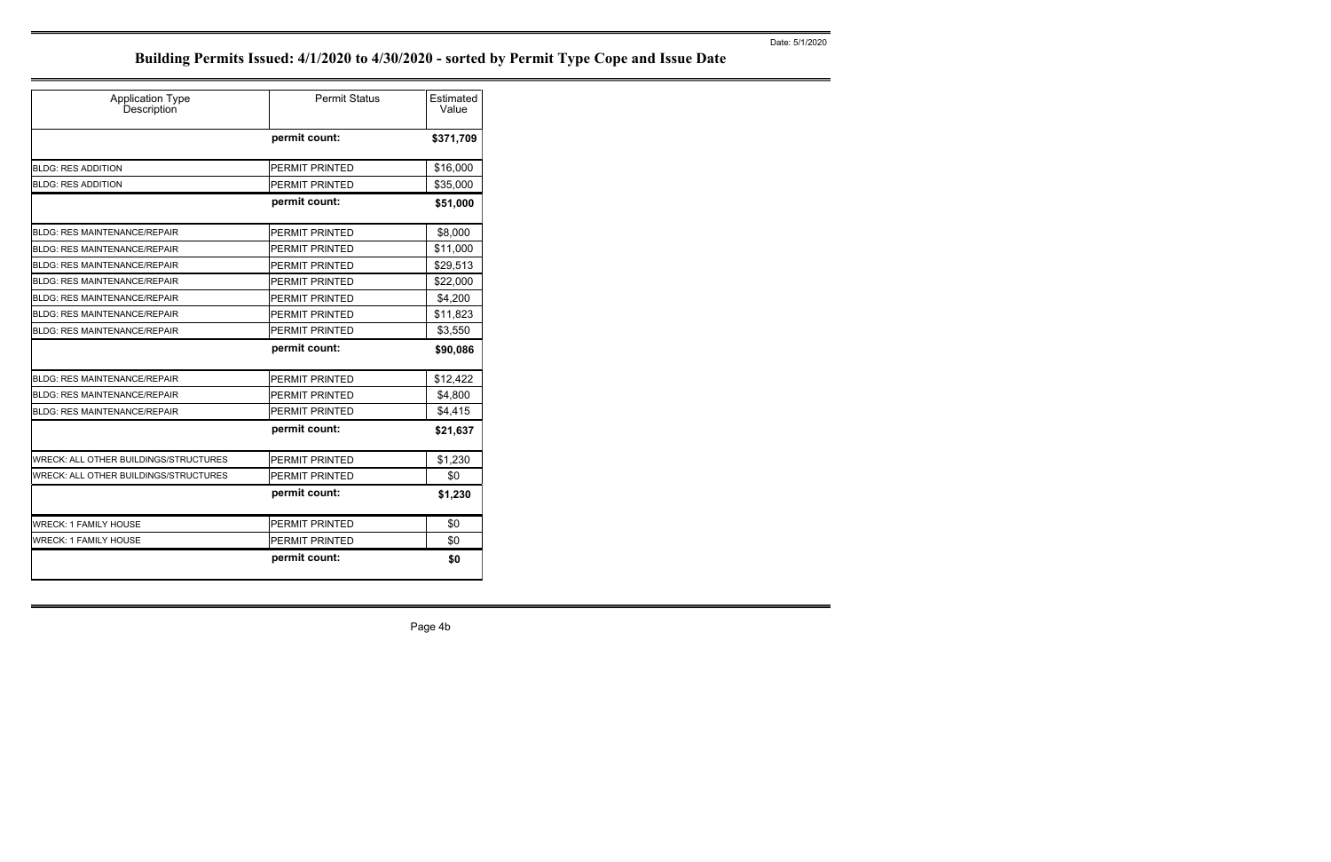Page 4b

| <b>Application Type</b><br>Description | <b>Permit Status</b>  | Estimated<br>Value |
|----------------------------------------|-----------------------|--------------------|
|                                        | permit count:         | \$371,709          |
| <b>BLDG: RES ADDITION</b>              | <b>PERMIT PRINTED</b> | \$16,000           |
| <b>BLDG: RES ADDITION</b>              | PERMIT PRINTED        | \$35,000           |
|                                        | permit count:         | \$51,000           |
| <b>BLDG: RES MAINTENANCE/REPAIR</b>    | <b>PERMIT PRINTED</b> | \$8,000            |
| BLDG: RES MAINTENANCE/REPAIR           | PERMIT PRINTED        | \$11,000           |
| <b>BLDG: RES MAINTENANCE/REPAIR</b>    | PERMIT PRINTED        | \$29,513           |
| <b>BLDG: RES MAINTENANCE/REPAIR</b>    | PERMIT PRINTED        | \$22,000           |
| <b>BLDG: RES MAINTENANCE/REPAIR</b>    | PERMIT PRINTED        | \$4,200            |
| <b>BLDG: RES MAINTENANCE/REPAIR</b>    | PERMIT PRINTED        | \$11,823           |
| <b>BLDG: RES MAINTENANCE/REPAIR</b>    | <b>PERMIT PRINTED</b> | \$3,550            |
|                                        | permit count:         | \$90,086           |
| <b>BLDG: RES MAINTENANCE/REPAIR</b>    | <b>PERMIT PRINTED</b> | \$12,422           |
| <b>BLDG: RES MAINTENANCE/REPAIR</b>    | PERMIT PRINTED        | \$4,800            |
| <b>BLDG: RES MAINTENANCE/REPAIR</b>    | <b>PERMIT PRINTED</b> | \$4,415            |
|                                        | permit count:         | \$21,637           |
| WRECK: ALL OTHER BUILDINGS/STRUCTURES  | <b>PERMIT PRINTED</b> | \$1,230            |
| WRECK: ALL OTHER BUILDINGS/STRUCTURES  | <b>PERMIT PRINTED</b> | \$0                |
|                                        | permit count:         | \$1,230            |
| WRECK: 1 FAMILY HOUSE                  | PERMIT PRINTED        | \$0                |
| WRECK: 1 FAMILY HOUSE                  | <b>PERMIT PRINTED</b> | \$0                |
|                                        | permit count:         | \$0                |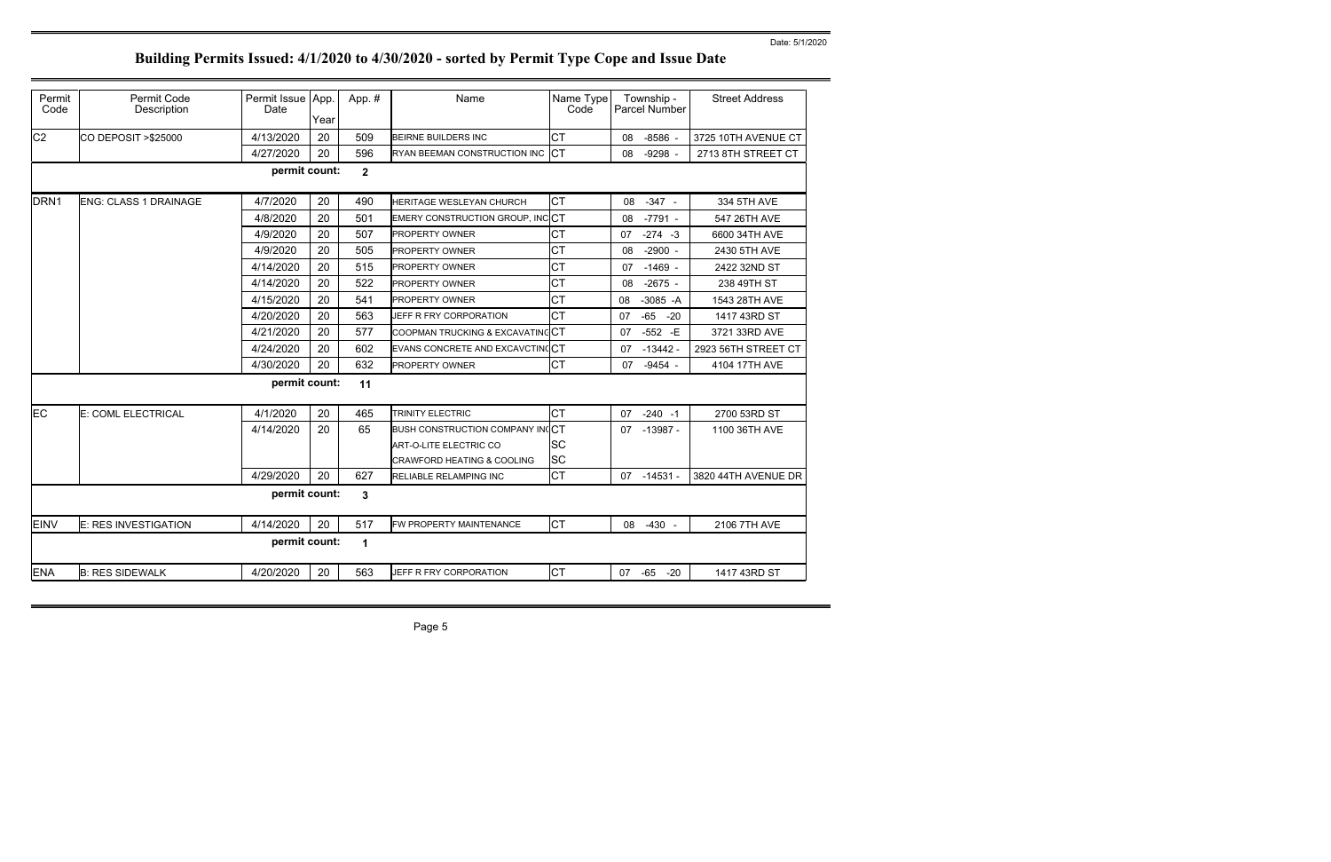| Permit           | Permit Code                 | Permit Issue App. |      | App.#                | Name                                  | Name Type | Township -           | <b>Street Address</b> |
|------------------|-----------------------------|-------------------|------|----------------------|---------------------------------------|-----------|----------------------|-----------------------|
| Code             | Description                 | Date              |      |                      |                                       | Code      | Parcel Number        |                       |
|                  |                             |                   | Year |                      |                                       |           |                      |                       |
| C <sub>2</sub>   | CO DEPOSIT > \$25000        | 4/13/2020         | 20   | 509                  | <b>BEIRNE BUILDERS INC</b>            | <b>CT</b> | $-8586 -$<br>08      | 3725 10TH AVENUE CT   |
|                  |                             | 4/27/2020         | 20   | 596                  | RYAN BEEMAN CONSTRUCTION INC          | <b>CT</b> | $-9298 -$<br>08      | 2713 8TH STREET CT    |
|                  |                             | permit count:     |      | $\mathbf{2}$         |                                       |           |                      |                       |
|                  |                             |                   |      |                      |                                       |           |                      |                       |
| DRN <sub>1</sub> | ENG: CLASS 1 DRAINAGE       | 4/7/2020          | 20   | 490                  | HERITAGE WESLEYAN CHURCH              | <b>CT</b> | $-347 -$<br>08       | 334 5TH AVE           |
|                  |                             | 4/8/2020          | 20   | 501                  | EMERY CONSTRUCTION GROUP, INCCT       |           | $-7791 -$<br>08      | 547 26TH AVE          |
|                  |                             | 4/9/2020          | 20   | 507                  | <b>PROPERTY OWNER</b>                 | <b>CT</b> | $-274 - 3$<br>07     | 6600 34TH AVE         |
|                  |                             | 4/9/2020          | 20   | 505                  | <b>PROPERTY OWNER</b>                 | <b>CT</b> | $-2900 -$<br>08      | 2430 5TH AVE          |
|                  |                             | 4/14/2020         | 20   | 515                  | <b>PROPERTY OWNER</b>                 | <b>CT</b> | $-1469 -$<br>07      | 2422 32ND ST          |
|                  |                             | 4/14/2020         | 20   | 522                  | PROPERTY OWNER                        | <b>CT</b> | 08<br>$-2675 -$      | 238 49TH ST           |
|                  |                             | 4/15/2020         | 20   | 541                  | <b>PROPERTY OWNER</b>                 | <b>CT</b> | $-3085 - A$<br>08    | 1543 28TH AVE         |
|                  |                             | 4/20/2020         | 20   | 563                  | JEFF R FRY CORPORATION                | <b>CT</b> | $-65$<br>$-20$<br>07 | 1417 43RD ST          |
|                  |                             | 4/21/2020         | 20   | 577                  | COOPMAN TRUCKING & EXCAVATING CT      |           | $-552$ $-E$<br>07    | 3721 33RD AVE         |
|                  |                             | 4/24/2020         | 20   | 602                  | EVANS CONCRETE AND EXCAVCTING CT      |           | $-13442 -$<br>07     | 2923 56TH STREET CT   |
|                  |                             | 4/30/2020         | 20   | 632                  | PROPERTY OWNER                        | <b>CT</b> | $-9454 -$<br>07      | 4104 17TH AVE         |
|                  |                             | permit count:     |      | 11                   |                                       |           |                      |                       |
|                  |                             |                   |      |                      |                                       |           |                      |                       |
| EC               | E: COML ELECTRICAL          | 4/1/2020          | 20   | 465                  | <b>TRINITY ELECTRIC</b>               | <b>CT</b> | $-240 - 1$<br>07     | 2700 53RD ST          |
|                  |                             | 4/14/2020         | 20   | 65                   | BUSH CONSTRUCTION COMPANY INCCT       |           | -13987 -<br>07       | 1100 36TH AVE         |
|                  |                             |                   |      |                      | ART-O-LITE ELECTRIC CO                | <b>SC</b> |                      |                       |
|                  |                             |                   |      |                      | <b>CRAWFORD HEATING &amp; COOLING</b> | <b>SC</b> |                      |                       |
|                  |                             | 4/29/2020         | 20   | 627                  | RELIABLE RELAMPING INC                | <b>CT</b> | 07 -14531 -          | 3820 44TH AVENUE DR   |
|                  |                             | permit count:     |      | $\mathbf 3$          |                                       |           |                      |                       |
| <b>EINV</b>      | <b>E: RES INVESTIGATION</b> | 4/14/2020         | 20   | 517                  | FW PROPERTY MAINTENANCE               | Iст       | $-430 -$<br>08       | 2106 7TH AVE          |
|                  |                             | permit count:     |      | $\blacktriangleleft$ |                                       |           |                      |                       |
| <b>ENA</b>       | <b>B: RES SIDEWALK</b>      | 4/20/2020         | 20   | 563                  | JEFF R FRY CORPORATION                | <b>CT</b> | $-65$<br>$-20$<br>07 | 1417 43RD ST          |
|                  |                             |                   |      |                      |                                       |           |                      |                       |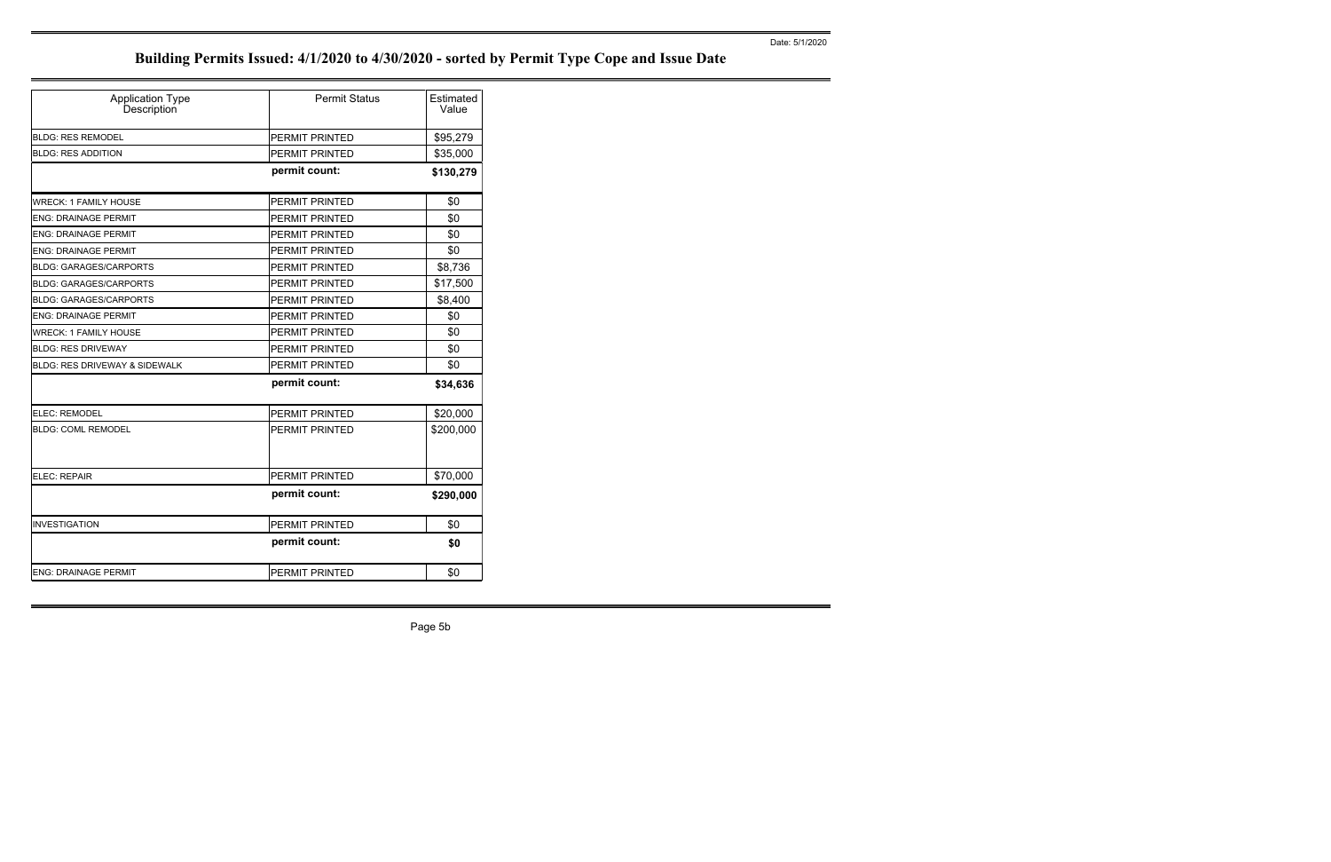Page 5b

| <b>Application Type</b><br>Description   | <b>Permit Status</b>  | Estimated<br>Value |
|------------------------------------------|-----------------------|--------------------|
| <b>BLDG: RES REMODEL</b>                 | PERMIT PRINTED        | \$95,279           |
| <b>BLDG: RES ADDITION</b>                | <b>PERMIT PRINTED</b> | \$35,000           |
|                                          | permit count:         | \$130,279          |
| <b>WRECK: 1 FAMILY HOUSE</b>             | PERMIT PRINTED        | \$0                |
| <b>ENG: DRAINAGE PERMIT</b>              | <b>PERMIT PRINTED</b> | \$0                |
| <b>ENG: DRAINAGE PERMIT</b>              | <b>PERMIT PRINTED</b> | \$0                |
| <b>ENG: DRAINAGE PERMIT</b>              | PERMIT PRINTED        | \$0                |
| <b>BLDG: GARAGES/CARPORTS</b>            | PERMIT PRINTED        | \$8,736            |
| <b>BLDG: GARAGES/CARPORTS</b>            | <b>PERMIT PRINTED</b> | \$17,500           |
| <b>BLDG: GARAGES/CARPORTS</b>            | PERMIT PRINTED        | \$8,400            |
| <b>ENG: DRAINAGE PERMIT</b>              | <b>PERMIT PRINTED</b> | \$0                |
| WRECK: 1 FAMILY HOUSE                    | PERMIT PRINTED        | \$0                |
| <b>BLDG: RES DRIVEWAY</b>                | PERMIT PRINTED        | \$0                |
| <b>BLDG: RES DRIVEWAY &amp; SIDEWALK</b> | PERMIT PRINTED        | \$0                |
|                                          | permit count:         | \$34,636           |
| <b>ELEC: REMODEL</b>                     | <b>PERMIT PRINTED</b> | \$20,000           |
| <b>BLDG: COML REMODEL</b>                | <b>PERMIT PRINTED</b> | \$200,000          |
| ELEC: REPAIR                             | PERMIT PRINTED        | \$70,000           |
|                                          | permit count:         | \$290,000          |
| <b>INVESTIGATION</b>                     | PERMIT PRINTED        | \$0                |
|                                          | permit count:         | \$0                |
| <b>ENG: DRAINAGE PERMIT</b>              | <b>PERMIT PRINTED</b> | \$0                |
|                                          |                       |                    |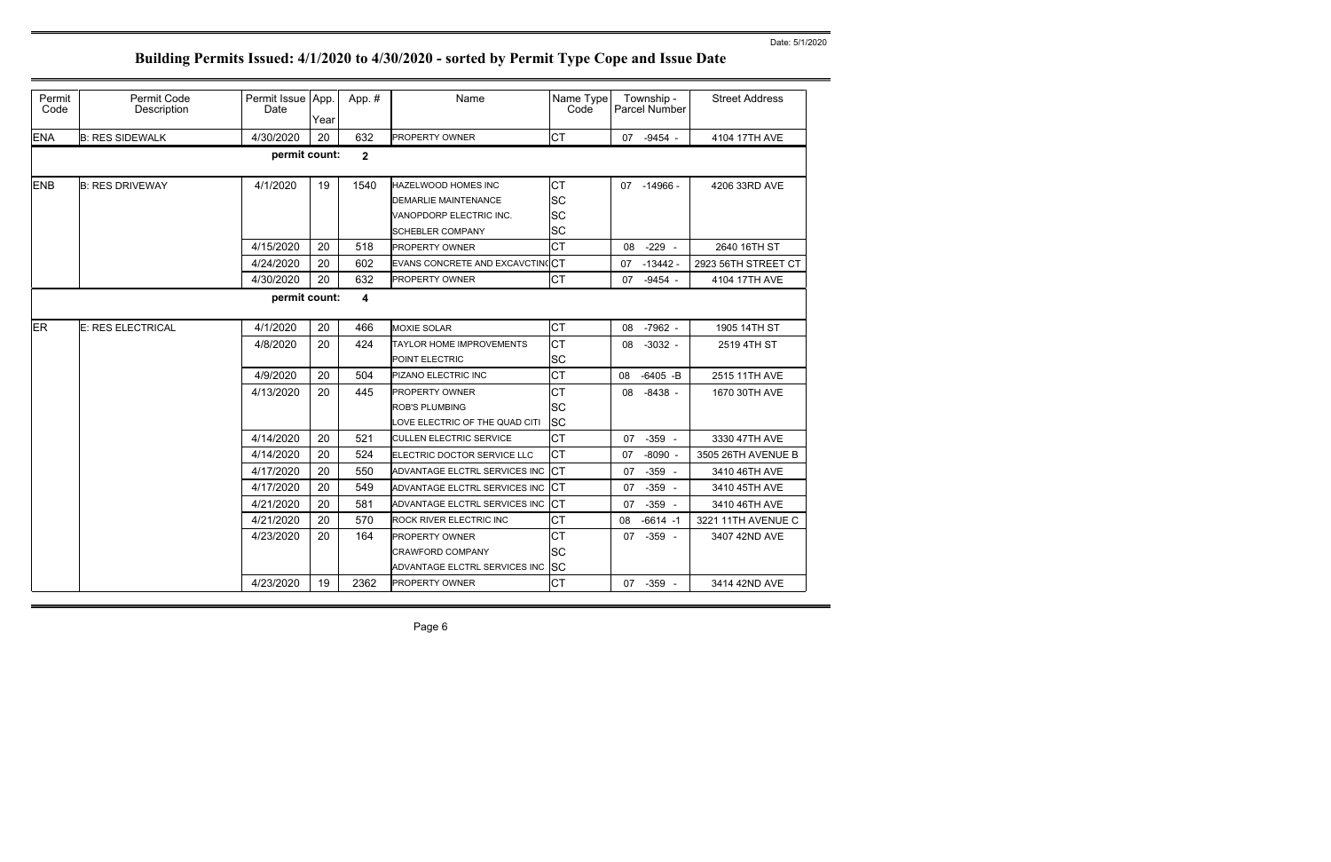| Permit<br>Code | Permit Code<br>Description | Permit Issue App.<br>Date | Year | App.#                   | Name                            | Name Type<br>Code | Township -<br>Parcel Number | <b>Street Address</b> |
|----------------|----------------------------|---------------------------|------|-------------------------|---------------------------------|-------------------|-----------------------------|-----------------------|
| <b>ENA</b>     | <b>B: RES SIDEWALK</b>     | 4/30/2020                 | 20   | 632                     | <b>PROPERTY OWNER</b>           | Iст               | 07 -9454 -                  | 4104 17TH AVE         |
|                |                            | permit count:             |      | $\mathbf{2}$            |                                 |                   |                             |                       |
| <b>ENB</b>     | <b>B: RES DRIVEWAY</b>     | 4/1/2020                  | 19   | 1540                    | <b>HAZELWOOD HOMES INC</b>      | <b>CT</b>         | $-14966 -$<br>07            | 4206 33RD AVE         |
|                |                            |                           |      |                         | <b>DEMARLIE MAINTENANCE</b>     | <b>SC</b>         |                             |                       |
|                |                            |                           |      |                         | VANOPDORP ELECTRIC INC.         | <b>SC</b>         |                             |                       |
|                |                            |                           |      |                         | <b>SCHEBLER COMPANY</b>         | <b>SC</b>         |                             |                       |
|                |                            | 4/15/2020                 | 20   | 518                     | PROPERTY OWNER                  | <b>CT</b>         | $-229 -$<br>08              | 2640 16TH ST          |
|                |                            | 4/24/2020                 | 20   | 602                     | EVANS CONCRETE AND EXCAVCTINGCT |                   | $-13442 -$<br>07            | 2923 56TH STREET CT   |
|                |                            | 4/30/2020                 | 20   | 632                     | PROPERTY OWNER                  | <b>CT</b>         | $-9454 -$<br>07             | 4104 17TH AVE         |
|                |                            | permit count:             |      | $\overline{\mathbf{4}}$ |                                 |                   |                             |                       |
| <b>ER</b>      | E: RES ELECTRICAL          | 4/1/2020                  | 20   | 466                     | <b>MOXIE SOLAR</b>              | <b>CT</b>         | $-7962 -$<br>08             | 1905 14TH ST          |
|                |                            | 4/8/2020                  | 20   | 424                     | <b>TAYLOR HOME IMPROVEMENTS</b> | <b>CT</b>         | $-3032 -$<br>08             | 2519 4TH ST           |
|                |                            |                           |      |                         | POINT ELECTRIC                  | <b>SC</b>         |                             |                       |
|                |                            | 4/9/2020                  | 20   | 504                     | PIZANO ELECTRIC INC             | <b>CT</b>         | $-6405 - B$<br>08           | 2515 11TH AVE         |
|                |                            | 4/13/2020                 | 20   | 445                     | <b>PROPERTY OWNER</b>           | <b>CT</b>         | $-8438 -$<br>08             | 1670 30TH AVE         |
|                |                            |                           |      |                         | <b>ROB'S PLUMBING</b>           | <b>SC</b>         |                             |                       |
|                |                            |                           |      |                         | OVE ELECTRIC OF THE QUAD CITI   | <b>SC</b>         |                             |                       |
|                |                            | 4/14/2020                 | 20   | 521                     | <b>CULLEN ELECTRIC SERVICE</b>  | <b>CT</b>         | $-359 -$<br>07              | 3330 47TH AVE         |
|                |                            | 4/14/2020                 | 20   | 524                     | ELECTRIC DOCTOR SERVICE LLC     | <b>CT</b>         | $-8090 -$<br>07             | 3505 26TH AVENUE B    |
|                |                            | 4/17/2020                 | 20   | 550                     | ADVANTAGE ELCTRL SERVICES INC   | Iст               | 07<br>$-359 -$              | 3410 46TH AVE         |
|                |                            | 4/17/2020                 | 20   | 549                     | ADVANTAGE ELCTRL SERVICES INC   | <b>ICT</b>        | $-359 -$<br>07              | 3410 45TH AVE         |
|                |                            | 4/21/2020                 | 20   | 581                     | ADVANTAGE ELCTRL SERVICES INC   | Iст               | 07<br>$-359 -$              | 3410 46TH AVE         |
|                |                            | 4/21/2020                 | 20   | 570                     | ROCK RIVER ELECTRIC INC         | <b>CT</b>         | $-6614 - 1$<br>08           | 3221 11TH AVENUE C    |
|                |                            | 4/23/2020                 | 20   | 164                     | PROPERTY OWNER                  | <b>CT</b>         | $-359 -$<br>07              | 3407 42ND AVE         |
|                |                            |                           |      |                         | <b>CRAWFORD COMPANY</b>         | <b>SC</b>         |                             |                       |
|                |                            |                           |      |                         | ADVANTAGE ELCTRL SERVICES INC   | <b>SC</b>         |                             |                       |
|                |                            | 4/23/2020                 | 19   | 2362                    | PROPERTY OWNER                  | <b>CT</b>         | 07<br>$-359 -$              | 3414 42ND AVE         |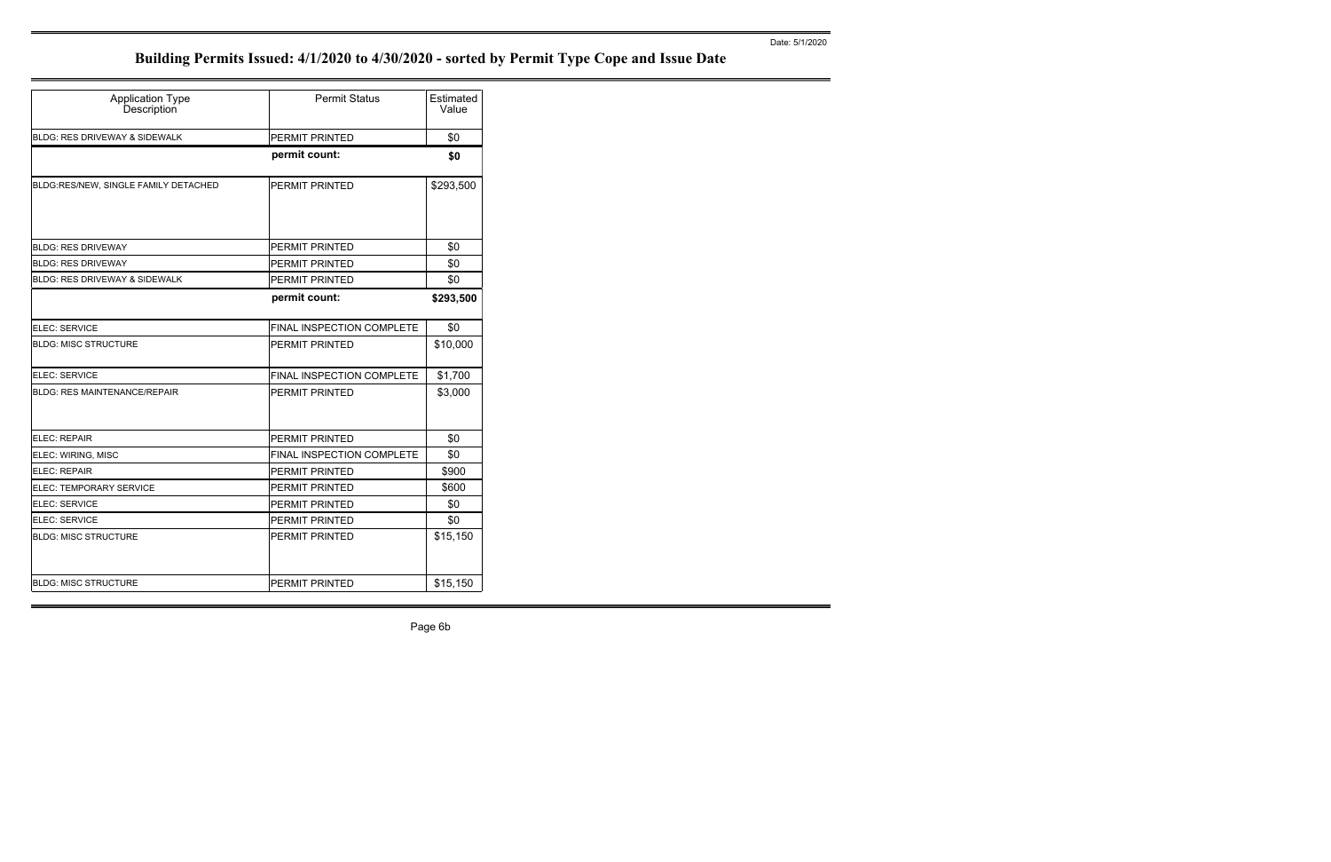Page 6b

| <b>Application Type</b><br>Description   | <b>Permit Status</b>      | Estimated<br>Value |
|------------------------------------------|---------------------------|--------------------|
| <b>BLDG: RES DRIVEWAY &amp; SIDEWALK</b> | <b>PERMIT PRINTED</b>     | \$0                |
|                                          | permit count:             | \$0                |
| BLDG:RES/NEW, SINGLE FAMILY DETACHED     | <b>PERMIT PRINTED</b>     | \$293,500          |
| <b>BLDG: RES DRIVEWAY</b>                | PERMIT PRINTED            | \$0                |
| <b>BLDG: RES DRIVEWAY</b>                | PERMIT PRINTED            | \$0                |
| <b>BLDG: RES DRIVEWAY &amp; SIDEWALK</b> | <b>PERMIT PRINTED</b>     | \$0                |
|                                          | permit count:             | \$293,500          |
| <b>ELEC: SERVICE</b>                     | FINAL INSPECTION COMPLETE | \$0                |
| <b>BLDG: MISC STRUCTURE</b>              | <b>PERMIT PRINTED</b>     | \$10,000           |
| ELEC: SERVICE                            | FINAL INSPECTION COMPLETE | \$1,700            |
| <b>BLDG: RES MAINTENANCE/REPAIR</b>      | PERMIT PRINTED            | \$3,000            |
| <b>ELEC: REPAIR</b>                      | <b>PERMIT PRINTED</b>     | \$0                |
| ELEC: WIRING, MISC                       | FINAL INSPECTION COMPLETE | \$0                |
| <b>ELEC: REPAIR</b>                      | PERMIT PRINTED            | \$900              |
| <b>ELEC: TEMPORARY SERVICE</b>           | PERMIT PRINTED            | \$600              |
| ELEC: SERVICE                            | PERMIT PRINTED            | \$0                |
| <b>ELEC: SERVICE</b>                     | PERMIT PRINTED            | \$0                |
| <b>BLDG: MISC STRUCTURE</b>              | PERMIT PRINTED            | \$15,150           |
| <b>BLDG: MISC STRUCTURE</b>              | <b>PERMIT PRINTED</b>     | \$15,150           |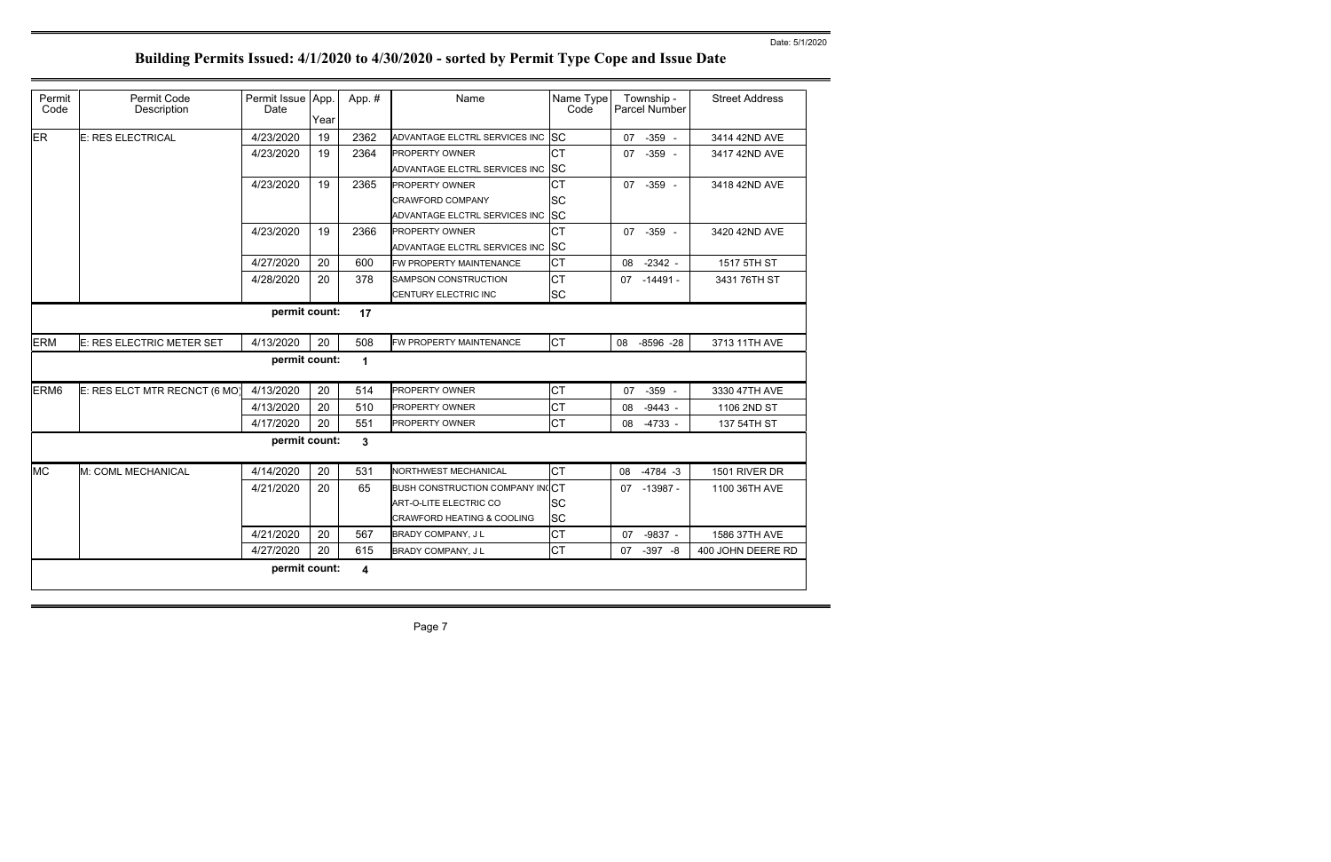| Permit<br>Code   | Permit Code<br>Description    | Permit Issue App.<br>Date | Year | App.#                   | Name                                  | Name Type<br>Code | Township -<br>Parcel Number | <b>Street Address</b> |
|------------------|-------------------------------|---------------------------|------|-------------------------|---------------------------------------|-------------------|-----------------------------|-----------------------|
| <b>ER</b>        | E: RES ELECTRICAL             | 4/23/2020                 | 19   | 2362                    | ADVANTAGE ELCTRL SERVICES INC SC      |                   | $-359 -$<br>07              | 3414 42ND AVE         |
|                  |                               | 4/23/2020                 | 19   | 2364                    | <b>PROPERTY OWNER</b>                 | <b>CT</b>         | 07<br>$-359 -$              | 3417 42ND AVE         |
|                  |                               |                           |      |                         | ADVANTAGE ELCTRL SERVICES INC SC      |                   |                             |                       |
|                  |                               | 4/23/2020                 | 19   | 2365                    | <b>PROPERTY OWNER</b>                 | <b>CT</b>         | 07<br>$-359 -$              | 3418 42ND AVE         |
|                  |                               |                           |      |                         | <b>CRAWFORD COMPANY</b>               | <b>SC</b>         |                             |                       |
|                  |                               |                           |      |                         | ADVANTAGE ELCTRL SERVICES INC SC      |                   |                             |                       |
|                  |                               | 4/23/2020                 | 19   | 2366                    | PROPERTY OWNER                        | <b>CT</b>         | 07 -359 -                   | 3420 42ND AVE         |
|                  |                               |                           |      |                         | ADVANTAGE ELCTRL SERVICES INC SC      |                   |                             |                       |
|                  |                               | 4/27/2020                 | 20   | 600                     | FW PROPERTY MAINTENANCE               | <b>CT</b>         | $-2342 -$<br>08             | 1517 5TH ST           |
|                  |                               | 4/28/2020                 | 20   | 378                     | SAMPSON CONSTRUCTION                  | <b>CT</b>         | -14491 -<br>07              | 3431 76TH ST          |
|                  |                               |                           |      |                         | CENTURY ELECTRIC INC                  | <b>SC</b>         |                             |                       |
|                  |                               | permit count:             |      | 17                      |                                       |                   |                             |                       |
| <b>ERM</b>       | E: RES ELECTRIC METER SET     | 4/13/2020                 | 20   | 508                     | FW PROPERTY MAINTENANCE               | Iст               | $-8596 -28$<br>08           | 3713 11TH AVE         |
|                  |                               | permit count:             |      | $\mathbf 1$             |                                       |                   |                             |                       |
| ERM <sub>6</sub> | E: RES ELCT MTR RECNCT (6 MO) | 4/13/2020                 | 20   | 514                     | <b>PROPERTY OWNER</b>                 | <b>CT</b>         | $-359 -$<br>07              | 3330 47TH AVE         |
|                  |                               | 4/13/2020                 | 20   | 510                     | <b>PROPERTY OWNER</b>                 | <b>CT</b>         | 08<br>$-9443 -$             | 1106 2ND ST           |
|                  |                               | 4/17/2020                 | 20   | 551                     | <b>PROPERTY OWNER</b>                 | <b>CT</b>         | $-4733 -$<br>08             | 137 54TH ST           |
|                  |                               | permit count:             |      | $\mathbf{3}$            |                                       |                   |                             |                       |
| <b>MC</b>        | M: COML MECHANICAL            | 4/14/2020                 | 20   | 531                     | NORTHWEST MECHANICAL                  | <b>CT</b>         | 08<br>$-4784 - 3$           | 1501 RIVER DR         |
|                  |                               | 4/21/2020                 | 20   | 65                      | BUSH CONSTRUCTION COMPANY INCCT       |                   | 07 -13987 -                 | 1100 36TH AVE         |
|                  |                               |                           |      |                         | <b>ART-O-LITE ELECTRIC CO</b>         | <b>SC</b>         |                             |                       |
|                  |                               |                           |      |                         | <b>CRAWFORD HEATING &amp; COOLING</b> | <b>SC</b>         |                             |                       |
|                  |                               | 4/21/2020                 | 20   | 567                     | BRADY COMPANY, JL                     | <b>CT</b>         | 07<br>$-9837 -$             | 1586 37TH AVE         |
|                  |                               | 4/27/2020                 | 20   | 615                     | BRADY COMPANY, JL                     | <b>CT</b>         | 07<br>$-397 - 8$            | 400 JOHN DEERE RD     |
|                  |                               | permit count:             |      | $\overline{\mathbf{4}}$ |                                       |                   |                             |                       |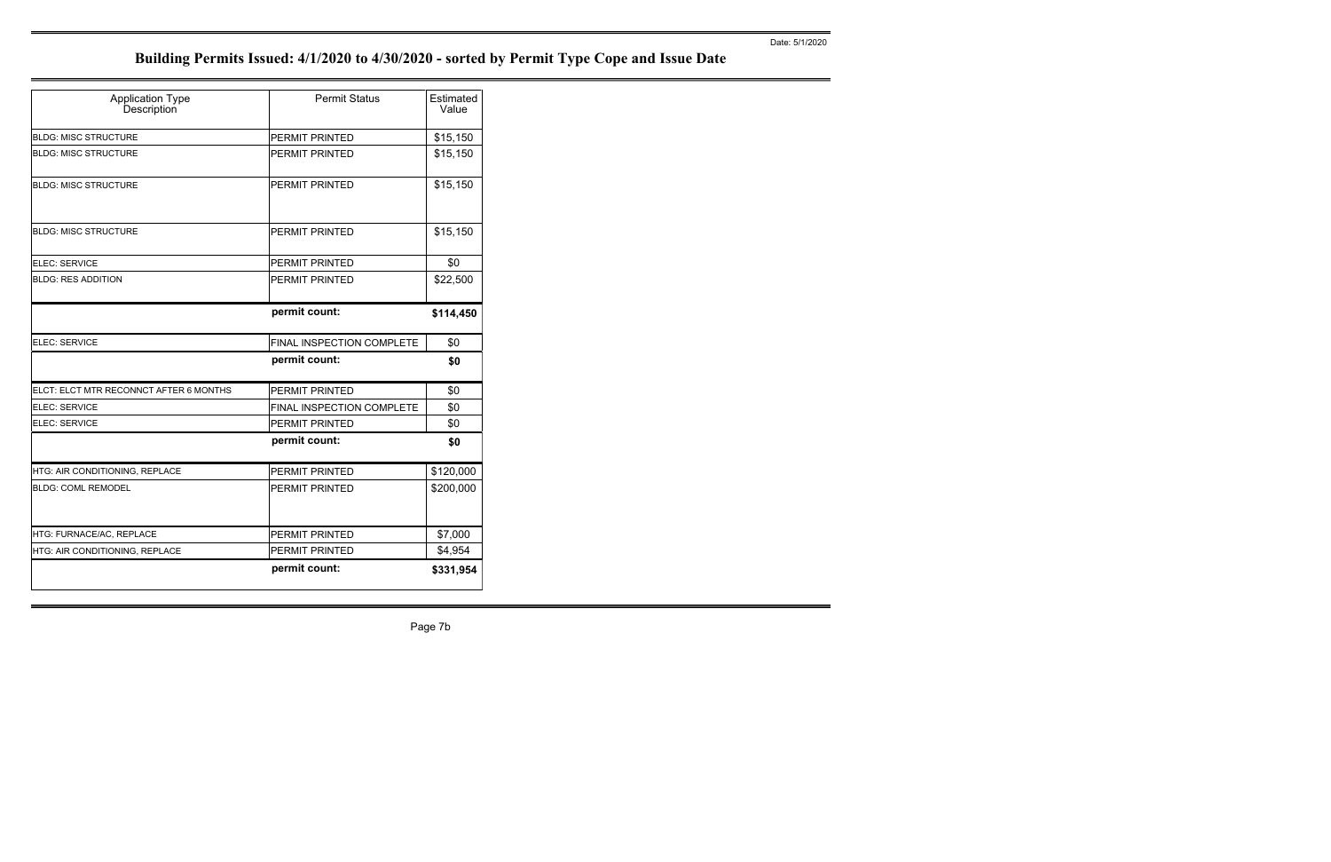Page 7b

| <b>Application Type</b><br>Description | <b>Permit Status</b>      | Estimated<br>Value |
|----------------------------------------|---------------------------|--------------------|
| <b>BLDG: MISC STRUCTURE</b>            | <b>PERMIT PRINTED</b>     | \$15,150           |
| <b>BLDG: MISC STRUCTURE</b>            | PERMIT PRINTED            | \$15,150           |
| <b>BLDG: MISC STRUCTURE</b>            | <b>PERMIT PRINTED</b>     | \$15,150           |
| <b>BLDG: MISC STRUCTURE</b>            | <b>PERMIT PRINTED</b>     | \$15,150           |
| ELEC: SERVICE                          | <b>PERMIT PRINTED</b>     | \$0                |
| <b>BLDG: RES ADDITION</b>              | <b>PERMIT PRINTED</b>     | \$22,500           |
|                                        | permit count:             | \$114,450          |
| <b>ELEC: SERVICE</b>                   | FINAL INSPECTION COMPLETE | \$0                |
|                                        | permit count:             | \$0                |
| ELCT: ELCT MTR RECONNCT AFTER 6 MONTHS | PERMIT PRINTED            | \$0                |
| ELEC: SERVICE                          | FINAL INSPECTION COMPLETE | \$0                |
| ELEC: SERVICE                          | PERMIT PRINTED            | \$0                |
|                                        | permit count:             | \$0                |
| HTG: AIR CONDITIONING, REPLACE         | PERMIT PRINTED            | \$120,000          |
| <b>BLDG: COML REMODEL</b>              | <b>PERMIT PRINTED</b>     | \$200,000          |
| HTG: FURNACE/AC, REPLACE               | PERMIT PRINTED            | \$7,000            |
| HTG: AIR CONDITIONING, REPLACE         | PERMIT PRINTED            | \$4,954            |
|                                        | permit count:             | \$331,954          |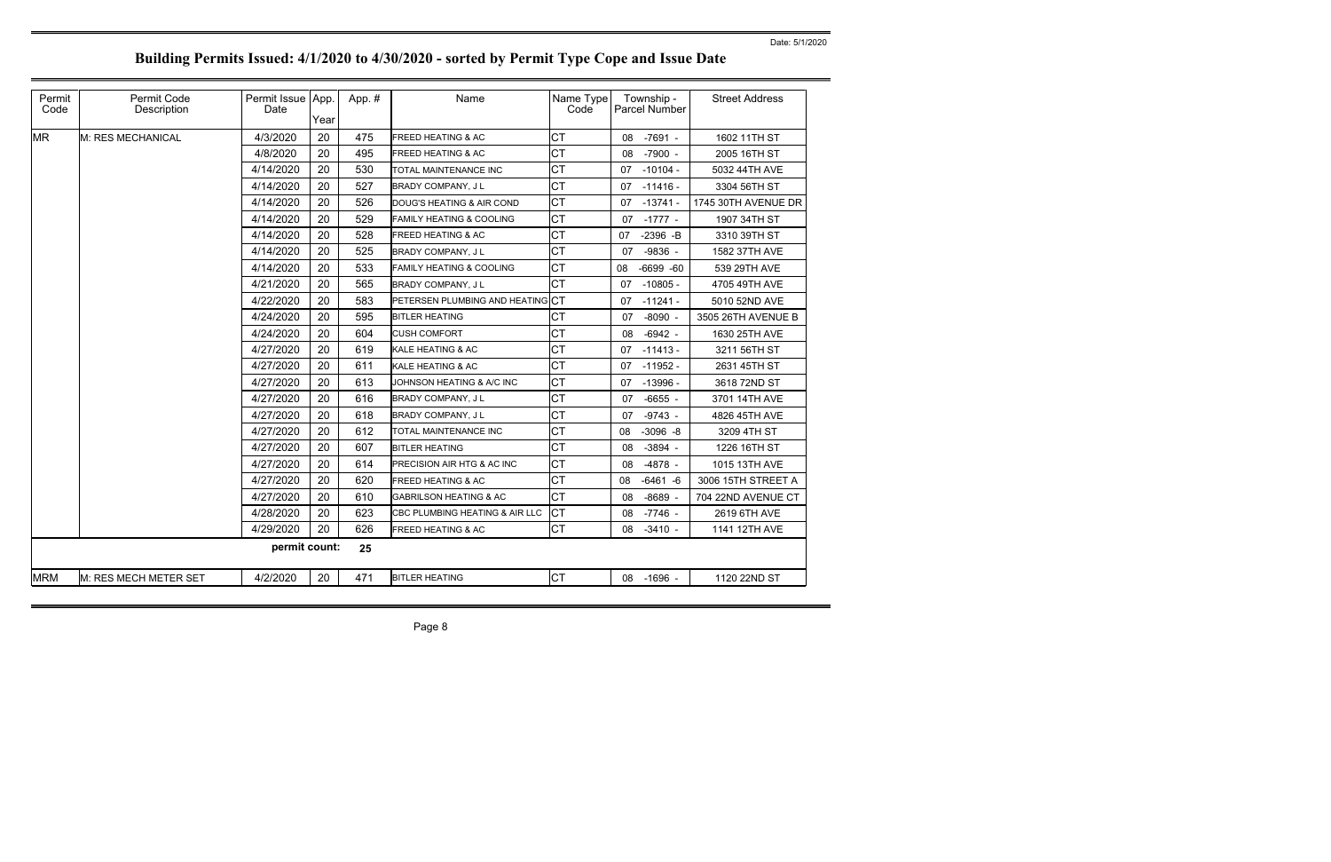| Permit<br>Code | Permit Code<br>Description   | Permit Issue App.<br>Date | Year | App.# | Name                                | Name Type<br>Code | Township -<br>Parcel Number | <b>Street Address</b> |
|----------------|------------------------------|---------------------------|------|-------|-------------------------------------|-------------------|-----------------------------|-----------------------|
| <b>MR</b>      | M: RES MECHANICAL            | 4/3/2020                  | 20   | 475   | <b>FREED HEATING &amp; AC</b>       | <b>CT</b>         | $-7691 -$<br>08             | 1602 11TH ST          |
|                |                              | 4/8/2020                  | 20   | 495   | <b>FREED HEATING &amp; AC</b>       | <b>CT</b>         | $-7900 -$<br>08             | 2005 16TH ST          |
|                |                              | 4/14/2020                 | 20   | 530   | TOTAL MAINTENANCE INC               | <b>CT</b>         | $-10104 -$<br>07            | 5032 44TH AVE         |
|                |                              | 4/14/2020                 | 20   | 527   | <b>BRADY COMPANY, JL</b>            | <b>CT</b>         | 07<br>$-11416 -$            | 3304 56TH ST          |
|                |                              | 4/14/2020                 | 20   | 526   | DOUG'S HEATING & AIR COND           | <b>CT</b>         | $-13741 -$<br>07            | 1745 30TH AVENUE DR   |
|                |                              | 4/14/2020                 | 20   | 529   | <b>FAMILY HEATING &amp; COOLING</b> | <b>CT</b>         | $-1777 -$<br>07             | 1907 34TH ST          |
|                |                              | 4/14/2020                 | 20   | 528   | <b>FREED HEATING &amp; AC</b>       | <b>CT</b>         | $-2396 - B$<br>07           | 3310 39TH ST          |
|                |                              | 4/14/2020                 | 20   | 525   | <b>BRADY COMPANY, JL</b>            | <b>CT</b>         | $-9836 -$<br>07             | 1582 37TH AVE         |
|                |                              | 4/14/2020                 | 20   | 533   | <b>FAMILY HEATING &amp; COOLING</b> | <b>CT</b>         | $-6699 - 60$<br>80          | 539 29TH AVE          |
|                |                              | 4/21/2020                 | 20   | 565   | BRADY COMPANY, J L                  | <b>CT</b>         | $-10805 -$<br>07            | 4705 49TH AVE         |
|                |                              | 4/22/2020                 | 20   | 583   | PETERSEN PLUMBING AND HEATING CT    |                   | $-11241 -$<br>07            | 5010 52ND AVE         |
|                |                              | 4/24/2020                 | 20   | 595   | <b>BITLER HEATING</b>               | <b>CT</b>         | $-8090 -$<br>07             | 3505 26TH AVENUE B    |
|                |                              | 4/24/2020                 | 20   | 604   | <b>CUSH COMFORT</b>                 | <b>CT</b>         | $-6942 -$<br>08             | 1630 25TH AVE         |
|                |                              | 4/27/2020                 | 20   | 619   | <b>KALE HEATING &amp; AC</b>        | <b>CT</b>         | $-11413 -$<br>07            | 3211 56TH ST          |
|                |                              | 4/27/2020                 | 20   | 611   | KALE HEATING & AC                   | <b>CT</b>         | $-11952 -$<br>07            | 2631 45TH ST          |
|                |                              | 4/27/2020                 | 20   | 613   | JOHNSON HEATING & A/C INC           | <b>CT</b>         | $-13996 -$<br>07            | 3618 72ND ST          |
|                |                              | 4/27/2020                 | 20   | 616   | <b>BRADY COMPANY, JL</b>            | <b>CT</b>         | $-6655 -$<br>07             | 3701 14TH AVE         |
|                |                              | 4/27/2020                 | 20   | 618   | <b>BRADY COMPANY, JL</b>            | <b>CT</b>         | 07<br>$-9743 -$             | 4826 45TH AVE         |
|                |                              | 4/27/2020                 | 20   | 612   | TOTAL MAINTENANCE INC               | <b>CT</b>         | $-3096 - 8$<br>08           | 3209 4TH ST           |
|                |                              | 4/27/2020                 | 20   | 607   | <b>BITLER HEATING</b>               | <b>CT</b>         | $-3894 -$<br>08             | 1226 16TH ST          |
|                |                              | 4/27/2020                 | 20   | 614   | PRECISION AIR HTG & AC INC          | <b>CT</b>         | 08<br>$-4878 -$             | 1015 13TH AVE         |
|                |                              | 4/27/2020                 | 20   | 620   | <b>FREED HEATING &amp; AC</b>       | <b>CT</b>         | $-6461 - 6$<br>08           | 3006 15TH STREET A    |
|                |                              | 4/27/2020                 | 20   | 610   | <b>GABRILSON HEATING &amp; AC</b>   | <b>CT</b>         | 08<br>$-8689 -$             | 704 22ND AVENUE CT    |
|                |                              | 4/28/2020                 | 20   | 623   | CBC PLUMBING HEATING & AIR LLC      | <b>CT</b>         | $-7746 -$<br>08             | 2619 6TH AVE          |
|                |                              | 4/29/2020                 | 20   | 626   | <b>FREED HEATING &amp; AC</b>       | <b>CT</b>         | $-3410 -$<br>08             | 1141 12TH AVE         |
|                |                              | permit count:             |      | 25    |                                     |                   |                             |                       |
| <b>MRM</b>     | <b>M: RES MECH METER SET</b> | 4/2/2020                  | 20   | 471   | <b>BITLER HEATING</b>               | <b>CT</b>         | 08<br>$-1696 -$             | 1120 22ND ST          |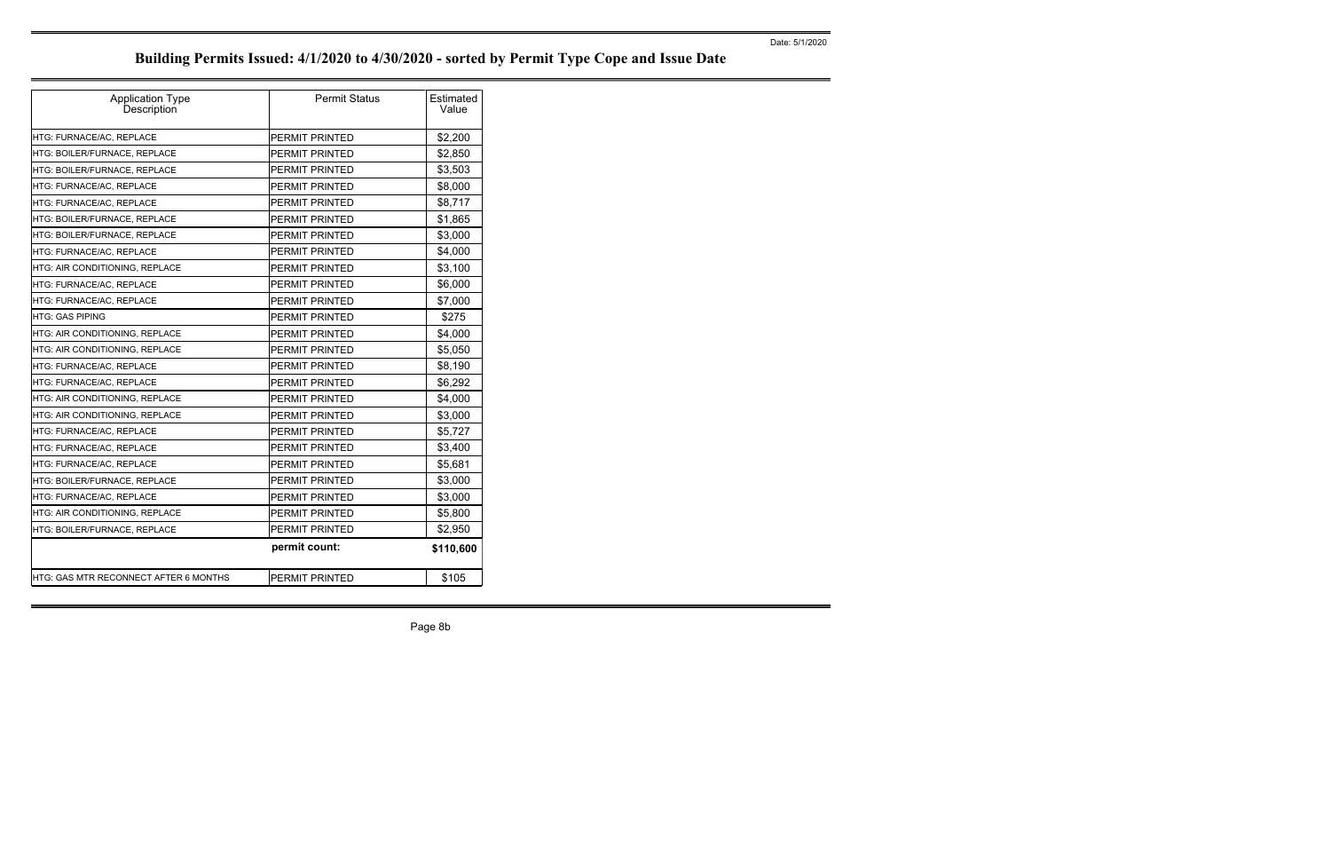Page 8b

| <b>Application Type</b><br>Description       | <b>Permit Status</b>  | Estimated<br>Value |
|----------------------------------------------|-----------------------|--------------------|
| HTG: FURNACE/AC, REPLACE                     | <b>PERMIT PRINTED</b> | \$2,200            |
| HTG: BOILER/FURNACE, REPLACE                 | <b>PERMIT PRINTED</b> | \$2,850            |
| HTG: BOILER/FURNACE, REPLACE                 | <b>PERMIT PRINTED</b> | \$3,503            |
| HTG: FURNACE/AC, REPLACE                     | PERMIT PRINTED        | \$8,000            |
| HTG: FURNACE/AC, REPLACE                     | <b>PERMIT PRINTED</b> | \$8,717            |
| HTG: BOILER/FURNACE, REPLACE                 | <b>PERMIT PRINTED</b> | \$1,865            |
| HTG: BOILER/FURNACE, REPLACE                 | <b>PERMIT PRINTED</b> | \$3,000            |
| HTG: FURNACE/AC, REPLACE                     | <b>PERMIT PRINTED</b> | \$4,000            |
| HTG: AIR CONDITIONING, REPLACE               | <b>PERMIT PRINTED</b> | \$3,100            |
| HTG: FURNACE/AC, REPLACE                     | <b>PERMIT PRINTED</b> | \$6,000            |
| HTG: FURNACE/AC, REPLACE                     | <b>PERMIT PRINTED</b> | \$7,000            |
| <b>HTG: GAS PIPING</b>                       | <b>PERMIT PRINTED</b> | \$275              |
| HTG: AIR CONDITIONING, REPLACE               | PERMIT PRINTED        | \$4,000            |
| HTG: AIR CONDITIONING, REPLACE               | <b>PERMIT PRINTED</b> | \$5,050            |
| HTG: FURNACE/AC, REPLACE                     | PERMIT PRINTED        | \$8,190            |
| HTG: FURNACE/AC, REPLACE                     | PERMIT PRINTED        | \$6,292            |
| HTG: AIR CONDITIONING, REPLACE               | <b>PERMIT PRINTED</b> | \$4,000            |
| <b>HTG: AIR CONDITIONING, REPLACE</b>        | <b>PERMIT PRINTED</b> | \$3,000            |
| HTG: FURNACE/AC, REPLACE                     | PERMIT PRINTED        | \$5,727            |
| HTG: FURNACE/AC, REPLACE                     | <b>PERMIT PRINTED</b> | \$3,400            |
| HTG: FURNACE/AC, REPLACE                     | <b>PERMIT PRINTED</b> | \$5,681            |
| HTG: BOILER/FURNACE, REPLACE                 | <b>PERMIT PRINTED</b> | \$3,000            |
| HTG: FURNACE/AC, REPLACE                     | PERMIT PRINTED        | \$3,000            |
| HTG: AIR CONDITIONING, REPLACE               | <b>PERMIT PRINTED</b> | \$5,800            |
| HTG: BOILER/FURNACE, REPLACE                 | <b>PERMIT PRINTED</b> | \$2,950            |
|                                              | permit count:         | \$110,600          |
| <b>HTG: GAS MTR RECONNECT AFTER 6 MONTHS</b> | <b>PERMIT PRINTED</b> | \$105              |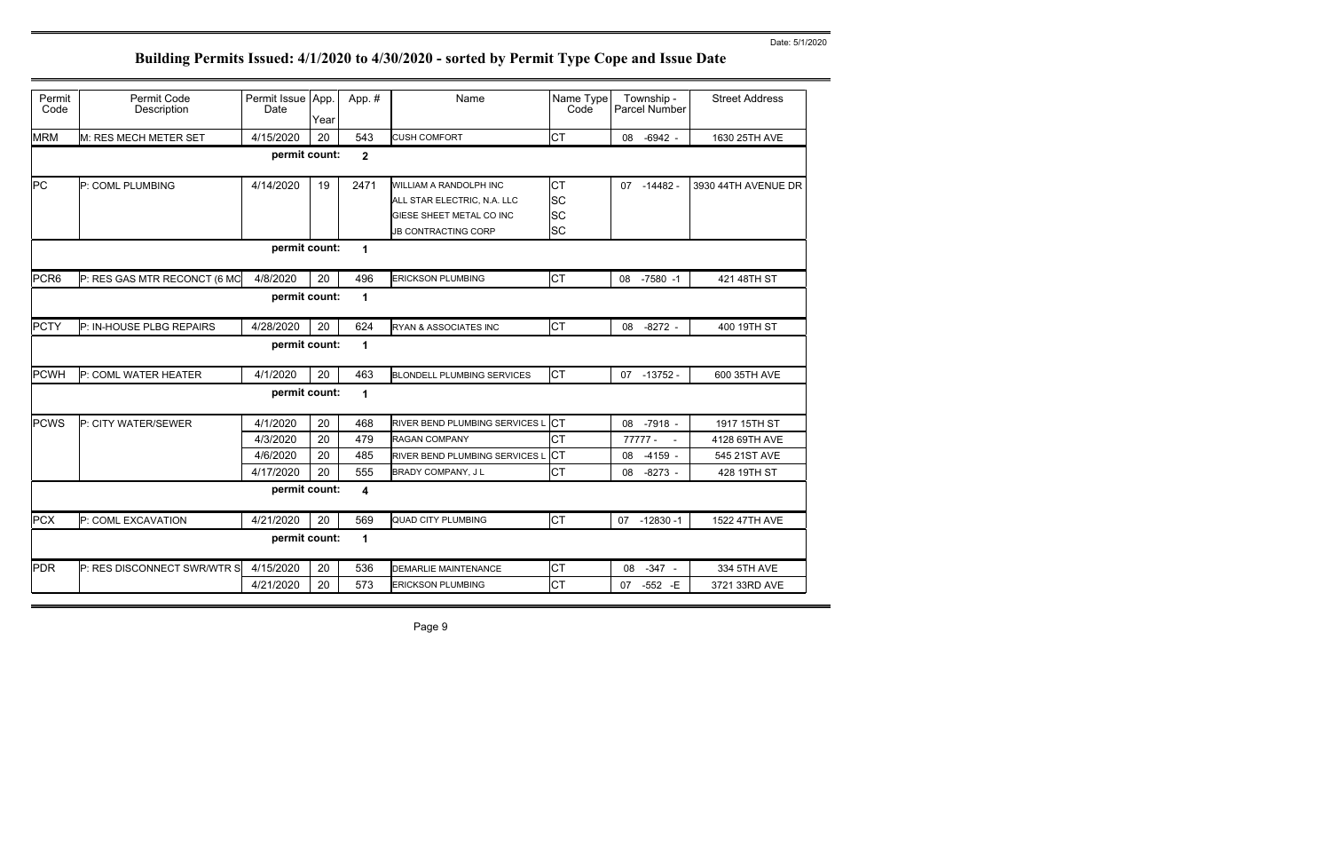| Permit<br>Code   | Permit Code<br>Description   | Permit Issue App.<br>Date | Year | App.#                   | Name                                  | Name Type<br>Code | Township -<br>Parcel Number | <b>Street Address</b> |
|------------------|------------------------------|---------------------------|------|-------------------------|---------------------------------------|-------------------|-----------------------------|-----------------------|
| <b>MRM</b>       | M: RES MECH METER SET        | 4/15/2020                 | 20   | 543                     | <b>CUSH COMFORT</b>                   | <b>CT</b>         | $-6942 -$<br>08             | 1630 25TH AVE         |
|                  |                              | permit count:             |      | $\mathbf{2}$            |                                       |                   |                             |                       |
| <b>PC</b>        | P: COML PLUMBING             | 4/14/2020                 | 19   | 2471                    | <b>WILLIAM A RANDOLPH INC</b>         | <b>CT</b>         | $-14482-$<br>07             | 3930 44TH AVENUE DR   |
|                  |                              |                           |      |                         | ALL STAR ELECTRIC, N.A. LLC           | <b>SC</b>         |                             |                       |
|                  |                              |                           |      |                         | GIESE SHEET METAL CO INC              | <b>SC</b>         |                             |                       |
|                  |                              |                           |      |                         | <b>JB CONTRACTING CORP</b>            | <b>SC</b>         |                             |                       |
|                  |                              | permit count:             |      | $\mathbf{1}$            |                                       |                   |                             |                       |
| PCR <sub>6</sub> | P: RES GAS MTR RECONCT (6 MO | 4/8/2020                  | 20   | 496                     | <b>ERICKSON PLUMBING</b>              | <b>CT</b>         | $-7580 - 1$<br>08           | 421 48TH ST           |
|                  |                              | permit count:             |      | $\mathbf{1}$            |                                       |                   |                             |                       |
| <b>PCTY</b>      | P: IN-HOUSE PLBG REPAIRS     | 4/28/2020                 | 20   | 624                     | RYAN & ASSOCIATES INC                 | <b>CT</b>         | 08 -8272 -                  | 400 19TH ST           |
|                  |                              | permit count:             |      | $\mathbf{1}$            |                                       |                   |                             |                       |
| <b>PCWH</b>      | P: COML WATER HEATER         | 4/1/2020                  | 20   | 463                     | <b>BLONDELL PLUMBING SERVICES</b>     | <b>CT</b>         | $07 - 13752 -$              | 600 35TH AVE          |
|                  |                              | permit count:             |      | $\mathbf{1}$            |                                       |                   |                             |                       |
| <b>PCWS</b>      | P: CITY WATER/SEWER          | 4/1/2020                  | 20   | 468                     | RIVER BEND PLUMBING SERVICES L CT     |                   | $-7918 -$<br>08             | 1917 15TH ST          |
|                  |                              | 4/3/2020                  | 20   | 479                     | <b>RAGAN COMPANY</b>                  | <b>CT</b>         | 77777 -<br>$\sim$           | 4128 69TH AVE         |
|                  |                              | 4/6/2020                  | 20   | 485                     | <b>RIVER BEND PLUMBING SERVICES L</b> | <b>CT</b>         | $-4159 -$<br>08             | 545 21ST AVE          |
|                  |                              | 4/17/2020                 | 20   | 555                     | <b>BRADY COMPANY, JL</b>              | <b>CT</b>         | $-8273 -$<br>08             | 428 19TH ST           |
|                  |                              | permit count:             |      | $\overline{\mathbf{4}}$ |                                       |                   |                             |                       |
| <b>PCX</b>       | P: COML EXCAVATION           | 4/21/2020                 | 20   | 569                     | <b>QUAD CITY PLUMBING</b>             | <b>CT</b>         | 07 -12830 -1                | 1522 47TH AVE         |
|                  |                              | permit count:             |      | $\mathbf{1}$            |                                       |                   |                             |                       |
| <b>PDR</b>       | P: RES DISCONNECT SWR/WTR S  | 4/15/2020                 | 20   | 536                     | <b>DEMARLIE MAINTENANCE</b>           | <b>CT</b>         | $-347 -$<br>08              | 334 5TH AVE           |
|                  |                              | 4/21/2020                 | 20   | 573                     | <b>ERICKSON PLUMBING</b>              | <b>CT</b>         | $-552$ $-E$<br>07           | 3721 33RD AVE         |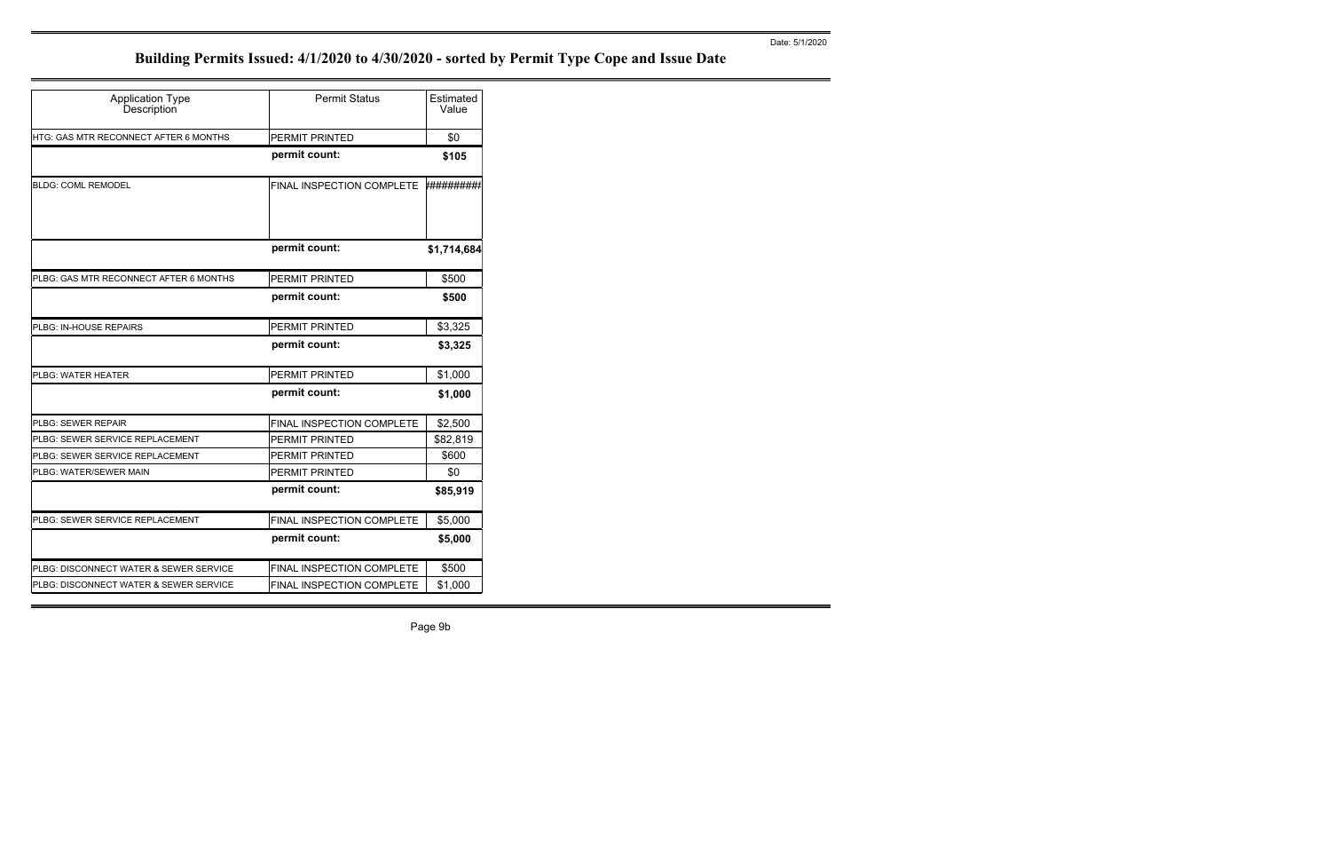Page 9b

| <b>Application Type</b><br>Description       | <b>Permit Status</b>      | Estimated<br>Value |
|----------------------------------------------|---------------------------|--------------------|
| <b>HTG: GAS MTR RECONNECT AFTER 6 MONTHS</b> | PERMIT PRINTED            | \$0                |
|                                              | permit count:             | \$105              |
| <b>BLDG: COML REMODEL</b>                    | FINAL INSPECTION COMPLETE | *########          |
|                                              | permit count:             | \$1,714,684        |
| PLBG: GAS MTR RECONNECT AFTER 6 MONTHS       | <b>PERMIT PRINTED</b>     | \$500              |
|                                              | permit count:             | \$500              |
| PLBG: IN-HOUSE REPAIRS                       | PERMIT PRINTED            | \$3,325            |
|                                              | permit count:             | \$3,325            |
| <b>PLBG: WATER HEATER</b>                    | PERMIT PRINTED            | \$1,000            |
|                                              | permit count:             | \$1,000            |
| <b>PLBG: SEWER REPAIR</b>                    | FINAL INSPECTION COMPLETE | \$2,500            |
| PLBG: SEWER SERVICE REPLACEMENT              | <b>PERMIT PRINTED</b>     | \$82,819           |
| PLBG: SEWER SERVICE REPLACEMENT              | PERMIT PRINTED            | \$600              |
| PLBG: WATER/SEWER MAIN                       | <b>PERMIT PRINTED</b>     | \$0                |
|                                              | permit count:             | \$85,919           |
| PLBG: SEWER SERVICE REPLACEMENT              | FINAL INSPECTION COMPLETE | \$5,000            |
|                                              | permit count:             | \$5,000            |
| PLBG: DISCONNECT WATER & SEWER SERVICE       | FINAL INSPECTION COMPLETE | \$500              |
| PLBG: DISCONNECT WATER & SEWER SERVICE       | FINAL INSPECTION COMPLETE | \$1,000            |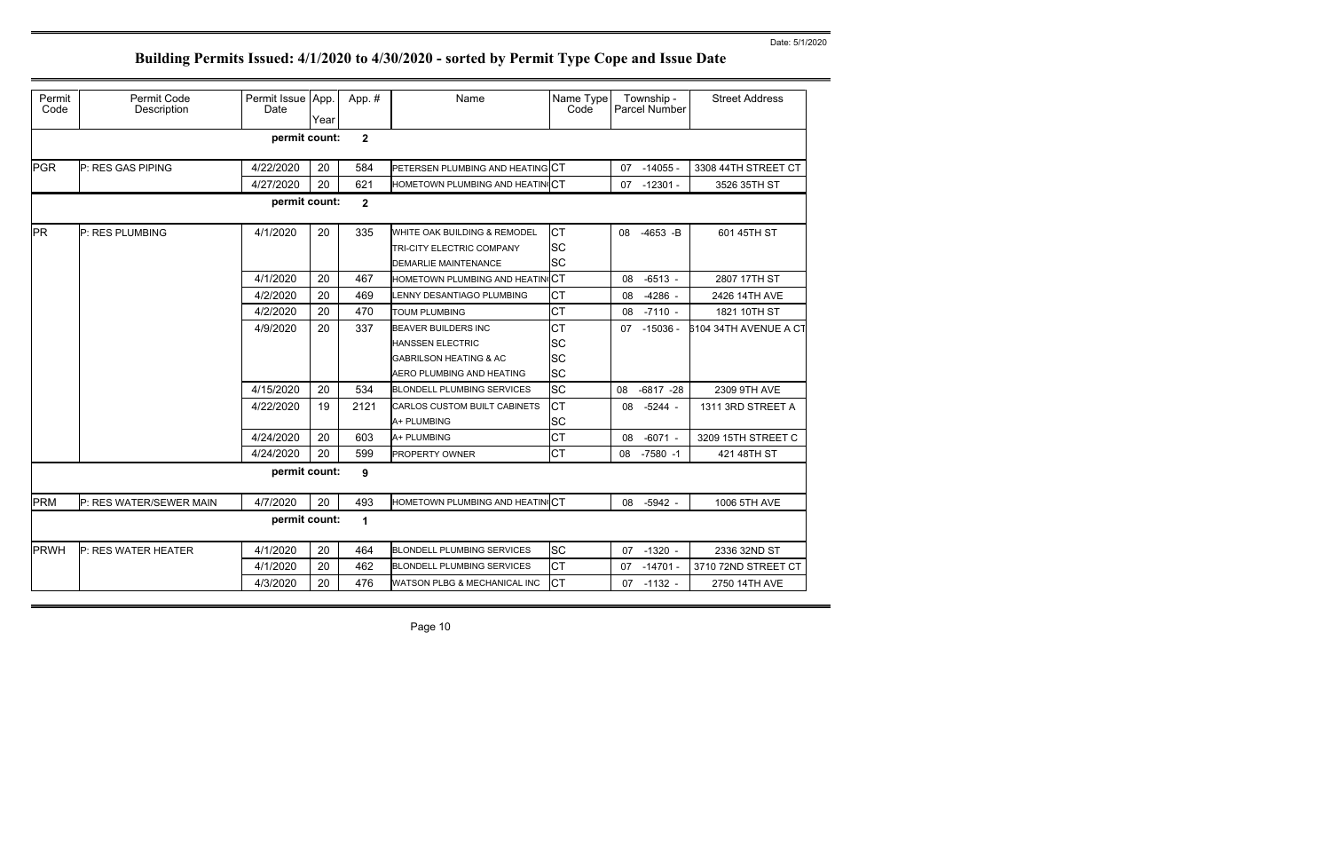| Permit<br>Code | Permit Code<br>Description      | Permit Issue App.<br>Date | Year | App.#        | Name                                    | Name Type<br>Code | Township -<br>Parcel Number | <b>Street Address</b> |  |
|----------------|---------------------------------|---------------------------|------|--------------|-----------------------------------------|-------------------|-----------------------------|-----------------------|--|
|                | permit count:<br>$\overline{2}$ |                           |      |              |                                         |                   |                             |                       |  |
| <b>PGR</b>     | P: RES GAS PIPING               | 4/22/2020                 | 20   | 584          | PETERSEN PLUMBING AND HEATING CT        |                   | 07<br>-14055 -              | 3308 44TH STREET CT   |  |
|                |                                 | 4/27/2020                 | 20   | 621          | HOMETOWN PLUMBING AND HEATING CT        |                   | $-12301 -$<br>07            | 3526 35TH ST          |  |
|                |                                 | permit count:             |      | $\mathbf{2}$ |                                         |                   |                             |                       |  |
| <b>PR</b>      | P: RES PLUMBING                 | 4/1/2020                  | 20   | 335          | WHITE OAK BUILDING & REMODEL            | <b>ICT</b>        | 08 -4653 -B                 | 601 45TH ST           |  |
|                |                                 |                           |      |              | TRI-CITY ELECTRIC COMPANY               | <b>SC</b>         |                             |                       |  |
|                |                                 |                           |      |              | <b>DEMARLIE MAINTENANCE</b>             | <b>SC</b>         |                             |                       |  |
|                |                                 | 4/1/2020                  | 20   | 467          | HOMETOWN PLUMBING AND HEATING CT        |                   | $-6513 -$<br>08             | 2807 17TH ST          |  |
|                |                                 | 4/2/2020                  | 20   | 469          | LENNY DESANTIAGO PLUMBING               | <b>CT</b>         | $-4286 -$<br>08             | 2426 14TH AVE         |  |
|                |                                 | 4/2/2020                  | 20   | 470          | TOUM PLUMBING                           | <b>CT</b>         | $-7110 -$<br>08             | 1821 10TH ST          |  |
|                |                                 | 4/9/2020                  | 20   | 337          | <b>BEAVER BUILDERS INC</b>              | <b>CT</b>         | $-15036 -$<br>07            | 6104 34TH AVENUE A CT |  |
|                |                                 |                           |      |              | <b>HANSSEN ELECTRIC</b>                 | <b>SC</b>         |                             |                       |  |
|                |                                 |                           |      |              | <b>GABRILSON HEATING &amp; AC</b>       | <b>SC</b>         |                             |                       |  |
|                |                                 |                           |      |              | AERO PLUMBING AND HEATING               | <b>SC</b>         |                             |                       |  |
|                |                                 | 4/15/2020                 | 20   | 534          | <b>BLONDELL PLUMBING SERVICES</b>       | <b>SC</b>         | $-6817 -28$<br>08           | 2309 9TH AVE          |  |
|                |                                 | 4/22/2020                 | 19   | 2121         | CARLOS CUSTOM BUILT CABINETS            | <b>CT</b>         | 08<br>$-5244 -$             | 1311 3RD STREET A     |  |
|                |                                 |                           |      |              | A+ PLUMBING                             | <b>SC</b>         |                             |                       |  |
|                |                                 | 4/24/2020                 | 20   | 603          | A+ PLUMBING                             | <b>CT</b>         | $-6071 -$<br>08             | 3209 15TH STREET C    |  |
|                |                                 | 4/24/2020                 | 20   | 599          | <b>PROPERTY OWNER</b>                   | <b>CT</b>         | 08<br>$-7580 - 1$           | 421 48TH ST           |  |
|                |                                 | permit count:             |      | 9            |                                         |                   |                             |                       |  |
| <b>PRM</b>     | P: RES WATER/SEWER MAIN         | 4/7/2020                  | 20   | 493          | HOMETOWN PLUMBING AND HEATING CT        |                   | 08<br>$-5942 -$             | 1006 5TH AVE          |  |
|                | permit count:<br>$\mathbf{1}$   |                           |      |              |                                         |                   |                             |                       |  |
| PRWH           | P: RES WATER HEATER             | 4/1/2020                  | 20   | 464          | <b>BLONDELL PLUMBING SERVICES</b>       | <b>SC</b>         | 07<br>$-1320 -$             | 2336 32ND ST          |  |
|                |                                 | 4/1/2020                  | 20   | 462          | <b>BLONDELL PLUMBING SERVICES</b>       | <b>CT</b>         | $-14701 -$<br>07            | 3710 72ND STREET CT   |  |
|                |                                 | 4/3/2020                  | 20   | 476          | <b>WATSON PLBG &amp; MECHANICAL INC</b> | Iст               | 07<br>$-1132 -$             | 2750 14TH AVE         |  |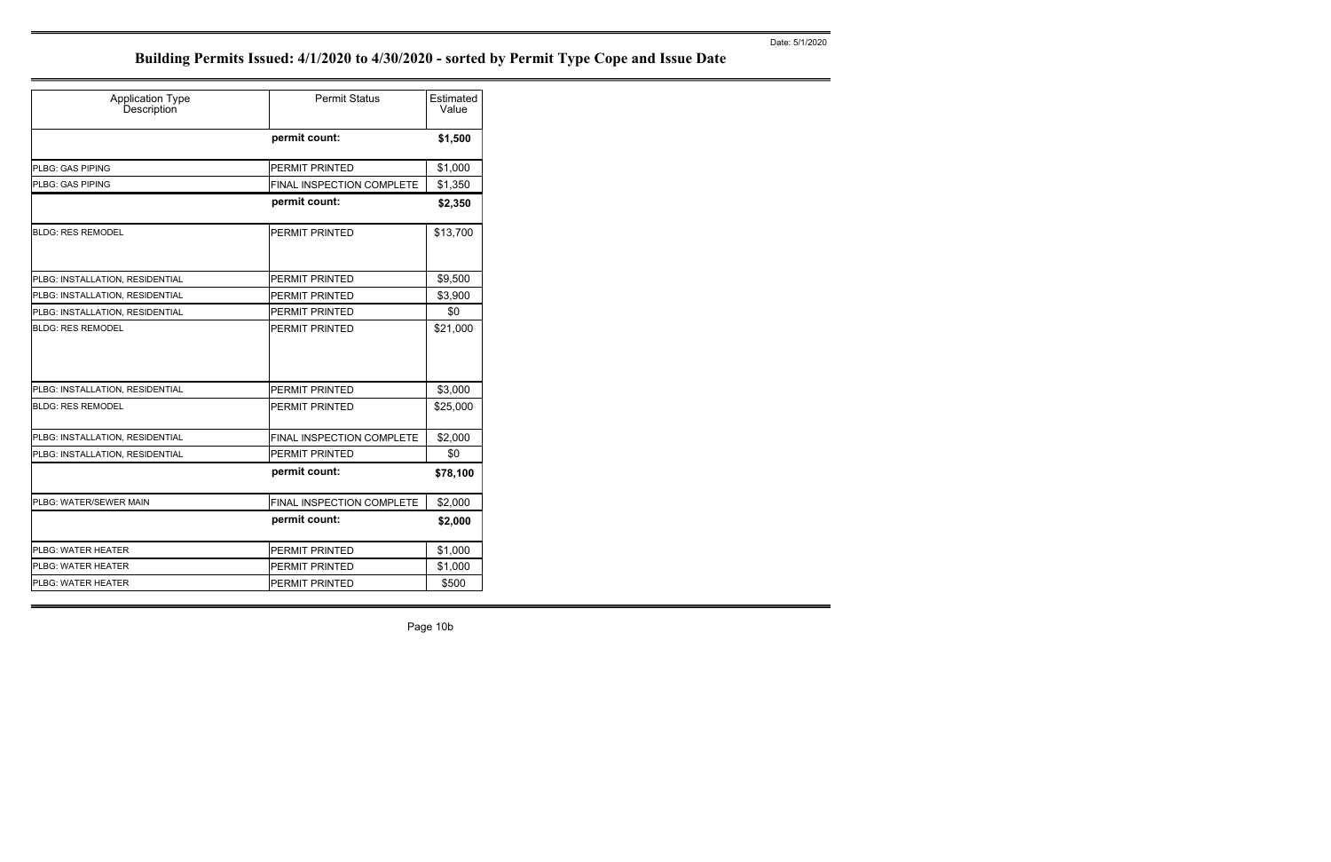Page 10b

| <b>Application Type</b><br>Description | <b>Permit Status</b>      | Estimated<br>Value |
|----------------------------------------|---------------------------|--------------------|
|                                        | permit count:             | \$1,500            |
| <b>PLBG: GAS PIPING</b>                | <b>PERMIT PRINTED</b>     | \$1,000            |
| PLBG: GAS PIPING                       | FINAL INSPECTION COMPLETE | \$1,350            |
|                                        | permit count:             | \$2,350            |
| <b>BLDG: RES REMODEL</b>               | PERMIT PRINTED            | \$13,700           |
| PLBG: INSTALLATION, RESIDENTIAL        | <b>PERMIT PRINTED</b>     | \$9,500            |
| PLBG: INSTALLATION, RESIDENTIAL        | PERMIT PRINTED            | \$3,900            |
| PLBG: INSTALLATION, RESIDENTIAL        | <b>PERMIT PRINTED</b>     | \$0                |
| <b>BLDG: RES REMODEL</b>               | <b>PERMIT PRINTED</b>     | \$21,000           |
| PLBG: INSTALLATION, RESIDENTIAL        | PERMIT PRINTED            | \$3,000            |
| <b>BLDG: RES REMODEL</b>               | PERMIT PRINTED            | \$25,000           |
| PLBG: INSTALLATION, RESIDENTIAL        | FINAL INSPECTION COMPLETE | \$2,000            |
| PLBG: INSTALLATION, RESIDENTIAL        | PERMIT PRINTED            | \$0                |
|                                        | permit count:             | \$78,100           |
| PLBG: WATER/SEWER MAIN                 | FINAL INSPECTION COMPLETE | \$2,000            |
|                                        | permit count:             | \$2,000            |
| <b>PLBG: WATER HEATER</b>              | PERMIT PRINTED            | \$1,000            |
| <b>PLBG: WATER HEATER</b>              | PERMIT PRINTED            | \$1,000            |
| PLBG: WATER HEATER                     | <b>PERMIT PRINTED</b>     | \$500              |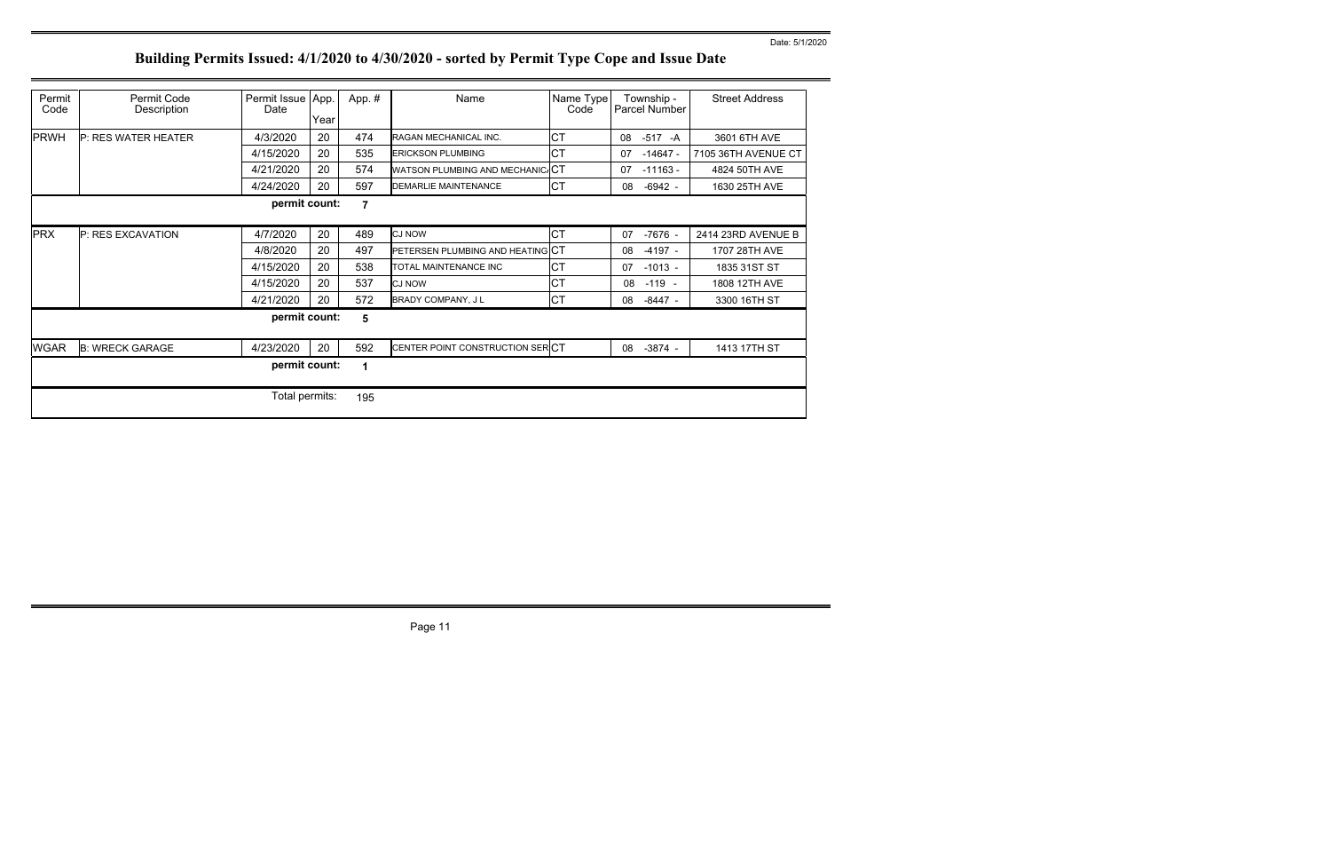| Permit<br>Code | Permit Code<br>Description | Permit Issue App.<br>Date |      | App. #         | Name                             | Name Type<br>Code | Township -<br>Parcel Number | <b>Street Address</b> |
|----------------|----------------------------|---------------------------|------|----------------|----------------------------------|-------------------|-----------------------------|-----------------------|
|                |                            |                           | Year |                |                                  |                   |                             |                       |
| <b>PRWH</b>    | <b>P: RES WATER HEATER</b> | 4/3/2020                  | 20   | 474            | RAGAN MECHANICAL INC.            | Iст               | $-517 - A$<br>08            | 3601 6TH AVE          |
|                |                            | 4/15/2020                 | 20   | 535            | <b>ERICKSON PLUMBING</b>         | <b>ICT</b>        | 07<br>$-14647 -$            | 7105 36TH AVENUE CT   |
|                |                            | 4/21/2020                 | 20   | 574            | WATSON PLUMBING AND MECHANIC/CT  |                   | $-11163 -$<br>07            | 4824 50TH AVE         |
|                |                            | 4/24/2020                 | 20   | 597            | DEMARLIE MAINTENANCE             | <b>ICT</b>        | 08<br>$-6942 -$             | 1630 25TH AVE         |
|                |                            | permit count:             |      | $\overline{7}$ |                                  |                   |                             |                       |
|                |                            |                           |      |                | <b>CJ NOW</b>                    |                   |                             |                       |
| <b>PRX</b>     | P: RES EXCAVATION          | 4/7/2020                  | 20   | 489            |                                  | Iст               | 07<br>$-7676 -$             | 2414 23RD AVENUE B    |
|                |                            | 4/8/2020                  | 20   | 497            | PETERSEN PLUMBING AND HEATING CT |                   | 08<br>$-4197 -$             | 1707 28TH AVE         |
|                |                            | 4/15/2020                 | 20   | 538            | TOTAL MAINTENANCE INC            | Iст               | $-1013 -$<br>07             | 1835 31ST ST          |
|                |                            | 4/15/2020                 | 20   | 537            | <b>CJ NOW</b>                    | <b>CT</b>         | $-119 -$<br>08              | 1808 12TH AVE         |
|                |                            | 4/21/2020                 | 20   | 572            | BRADY COMPANY, J L               | Iст               | 08<br>$-8447 -$             | 3300 16TH ST          |
|                |                            | permit count:             |      | 5              |                                  |                   |                             |                       |
|                |                            |                           |      |                |                                  |                   |                             |                       |
| <b>WGAR</b>    | <b>B: WRECK GARAGE</b>     | 4/23/2020                 | 20   | 592            | CENTER POINT CONSTRUCTION SERCT  |                   | $-3874 -$<br>08             | 1413 17TH ST          |
|                |                            | permit count:             |      | 1              |                                  |                   |                             |                       |
|                |                            | Total permits:            |      | 195            |                                  |                   |                             |                       |